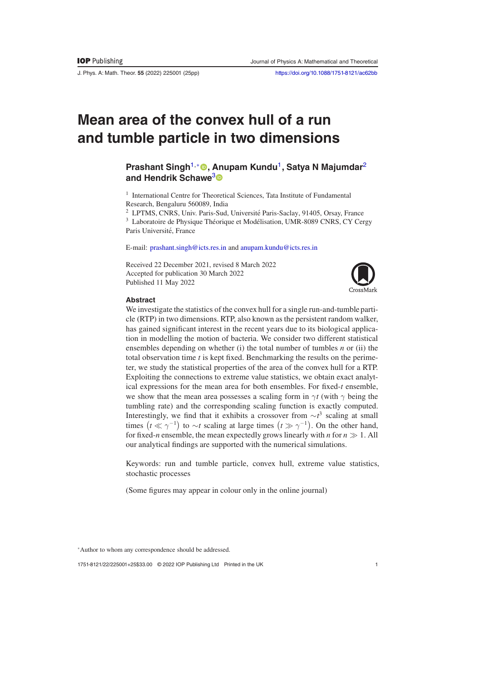J. Phys. A: Math. Theor. **55** (2022) 225001 (25pp) <https://doi.org/10.1088/1751-8121/ac62bb>

# **Mean area of the convex hull of a run and tumble particle in two dimensions**

# **Prashant Singh<sup>1[,](https://orcid.org/0000-0003-4296-8274)∗</sup> 
<b>
•** Anupam Kundu<sup>1</sup>, Satya N Majumdar<sup>2</sup> **and Hendrik Schawe**[3](https://orcid.org/0000-0002-8197-1372)

<sup>1</sup> International Centre for Theoretical Sciences, Tata Institute of Fundamental Research, Bengaluru 560089, India

<sup>2</sup> LPTMS, CNRS, Univ. Paris-Sud, Université Paris-Saclay, 91405, Orsay, France

<sup>3</sup> Laboratoire de Physique Théorique et Modélisation, UMR-8089 CNRS, CY Cergy Paris Université, France

E-mail: [prashant.singh@icts.res.in](mailto:prashant.singh@icts.res.in) and [anupam.kundu@icts.res.in](mailto:anupam.kundu@icts.res.in)

Received 22 December 2021, revised 8 March 2022 Accepted for publication 30 March 2022 Published 11 May 2022



#### **Abstract**

We investigate the statistics of the convex hull for a single run-and-tumble particle (RTP) in two dimensions. RTP, also known as the persistent random walker, has gained significant interest in the recent years due to its biological application in modelling the motion of bacteria. We consider two different statistical ensembles depending on whether (i) the total number of tumbles *n* or (ii) the total observation time *t* is kept fixed. Benchmarking the results on the perimeter, we study the statistical properties of the area of the convex hull for a RTP. Exploiting the connections to extreme value statistics, we obtain exact analytical expressions for the mean area for both ensembles. For fixed-*t* ensemble, we show that the mean area possesses a scaling form in  $\gamma t$  (with  $\gamma$  being the tumbling rate) and the corresponding scaling function is exactly computed. Interestingly, we find that it exhibits a crossover from ∼*t* <sup>3</sup> scaling at small times  $(t \ll \gamma^{-1})$  to  $\sim t$  scaling at large times  $(t \gg \gamma^{-1})$ . On the other hand, for fixed-*n* ensemble, the mean expectedly grows linearly with *n* for  $n \gg 1$ . All our analytical findings are supported with the numerical simulations.

Keywords: run and tumble particle, convex hull, extreme value statistics, stochastic processes

(Some figures may appear in colour only in the online journal)

<sup>∗</sup>Author to whom any correspondence should be addressed.

1751-8121/22/225001+25\$33.00 © 2022 IOP Publishing Ltd Printed in the UK 1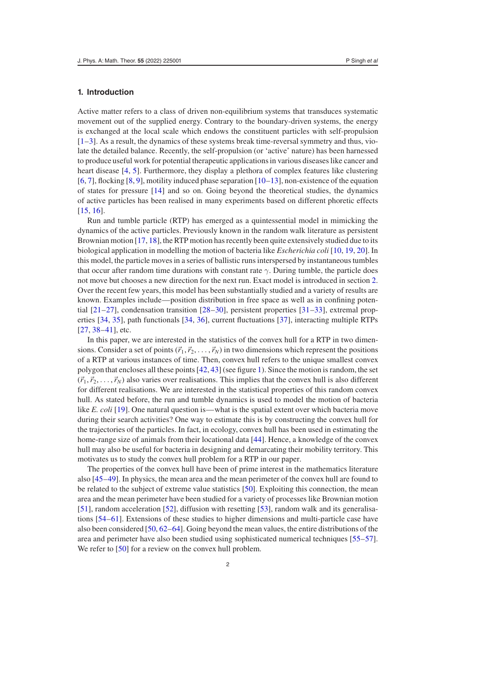## **1. Introduction**

Active matter refers to a class of driven non-equilibrium systems that transduces systematic movement out of the supplied energy. Contrary to the boundary-driven systems, the energy is exchanged at the local scale which endows the constituent particles with self-propulsion  $[1-3]$  $[1-3]$ . As a result, the dynamics of these systems break time-reversal symmetry and thus, violate the detailed balance. Recently, the self-propulsion (or 'active' nature) has been harnessed to produce useful work for potential therapeutic applications in various diseases like cancer and heart disease [\[4,](#page-22-2) [5\]](#page-22-3). Furthermore, they display a plethora of complex features like clustering  $[6, 7]$  $[6, 7]$  $[6, 7]$ , flocking  $[8, 9]$  $[8, 9]$  $[8, 9]$ , motility induced phase separation  $[10-13]$  $[10-13]$ , non-existence of the equation of states for pressure [\[14\]](#page-22-10) and so on. Going beyond the theoretical studies, the dynamics of active particles has been realised in many experiments based on different phoretic effects [\[15,](#page-22-11) [16\]](#page-22-12).

Run and tumble particle (RTP) has emerged as a quintessential model in mimicking the dynamics of the active particles. Previously known in the random walk literature as persistent Brownian motion [\[17,](#page-23-0) [18\]](#page-23-1), the RTP motion has recently been quite extensively studied due to its biological application in modelling the motion of bacteria like *Escherichia coli* [\[10,](#page-22-8) [19,](#page-23-2) [20\]](#page-23-3). In this model, the particle moves in a series of ballistic runs interspersed by instantaneous tumbles that occur after random time durations with constant rate  $\gamma$ . During tumble, the particle does not move but chooses a new direction for the next run. Exact model is introduced in section [2.](#page-2-0) Over the recent few years, this model has been substantially studied and a variety of results are known. Examples include—position distribution in free space as well as in confining potential [\[21](#page-23-4)[–27\]](#page-23-5), condensation transition [\[28](#page-23-6)[–30\]](#page-23-7), persistent properties [\[31](#page-23-8)[–33\]](#page-23-9), extremal properties [\[34,](#page-23-10) [35\]](#page-23-11), path functionals [\[34,](#page-23-10) [36\]](#page-23-12), current fluctuations [\[37\]](#page-23-13), interacting multiple RTPs [\[27,](#page-23-5) [38](#page-23-14)[–41\]](#page-23-15), etc.

In this paper, we are interested in the statistics of the convex hull for a RTP in two dimensions. Consider a set of points  $(\vec{r}_1, \vec{r}_2, \ldots, \vec{r}_N)$  in two dimensions which represent the positions of a RTP at various instances of time. Then, convex hull refers to the unique smallest convex polygon that encloses all these points [\[42,](#page-23-16) [43\]](#page-23-17) (see figure [1\)](#page-2-1). Since the motion is random, the set  $(\vec{r}_1, \vec{r}_2, \ldots, \vec{r}_N)$  also varies over realisations. This implies that the convex hull is also different for different realisations. We are interested in the statistical properties of this random convex hull. As stated before, the run and tumble dynamics is used to model the motion of bacteria like *E. coli* [\[19\]](#page-23-2). One natural question is—what is the spatial extent over which bacteria move during their search activities? One way to estimate this is by constructing the convex hull for the trajectories of the particles. In fact, in ecology, convex hull has been used in estimating the home-range size of animals from their locational data [\[44\]](#page-23-18). Hence, a knowledge of the convex hull may also be useful for bacteria in designing and demarcating their mobility territory. This motivates us to study the convex hull problem for a RTP in our paper.

The properties of the convex hull have been of prime interest in the mathematics literature also [\[45–](#page-23-19)[49\]](#page-23-20). In physics, the mean area and the mean perimeter of the convex hull are found to be related to the subject of extreme value statistics [\[50\]](#page-23-21). Exploiting this connection, the mean area and the mean perimeter have been studied for a variety of processes like Brownian motion [\[51\]](#page-23-22), random acceleration [\[52\]](#page-23-23), diffusion with resetting [\[53\]](#page-23-24), random walk and its generalisations [\[54–](#page-23-25)[61\]](#page-23-26). Extensions of these studies to higher dimensions and multi-particle case have also been considered [\[50,](#page-23-21) [62](#page-23-27)[–64\]](#page-23-28). Going beyond the mean values, the entire distributions of the area and perimeter have also been studied using sophisticated numerical techniques [\[55](#page-23-29)[–57\]](#page-23-30). We refer to [\[50\]](#page-23-21) for a review on the convex hull problem.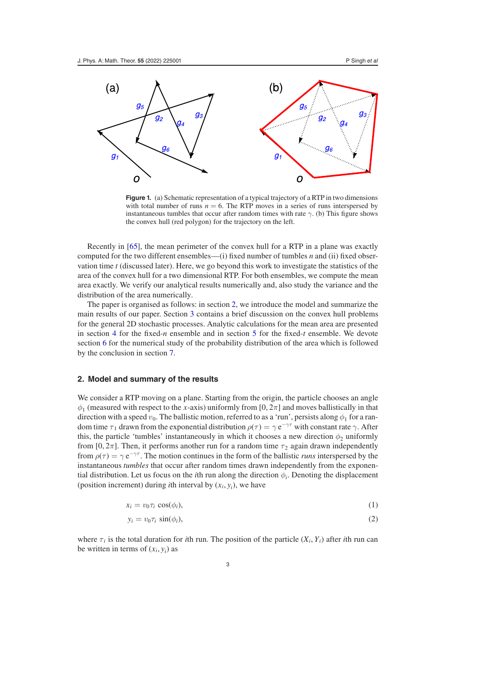<span id="page-2-1"></span>

**Figure 1.** (a) Schematic representation of a typical trajectory of a RTP in two dimensions with total number of runs  $n = 6$ . The RTP moves in a series of runs interspersed by instantaneous tumbles that occur after random times with rate  $\gamma$ . (b) This figure shows the convex hull (red polygon) for the trajectory on the left.

Recently in [\[65\]](#page-23-31), the mean perimeter of the convex hull for a RTP in a plane was exactly computed for the two different ensembles—(i) fixed number of tumbles *n* and (ii) fixed observation time *t* (discussed later). Here, we go beyond this work to investigate the statistics of the area of the convex hull for a two dimensional RTP. For both ensembles, we compute the mean area exactly. We verify our analytical results numerically and, also study the variance and the distribution of the area numerically.

The paper is organised as follows: in section [2,](#page-2-0) we introduce the model and summarize the main results of our paper. Section [3](#page-4-0) contains a brief discussion on the convex hull problems for the general 2D stochastic processes. Analytic calculations for the mean area are presented in section [4](#page-6-0) for the fixed-*n* ensemble and in section [5](#page-11-0) for the fixed-*t* ensemble. We devote section [6](#page-16-0) for the numerical study of the probability distribution of the area which is followed by the conclusion in section [7.](#page-17-0)

#### <span id="page-2-0"></span>**2. Model and summary of the results**

We consider a RTP moving on a plane. Starting from the origin, the particle chooses an angle  $\phi_1$  (measured with respect to the *x*-axis) uniformly from [0, 2 $\pi$ ] and moves ballistically in that direction with a speed  $v_0$ . The ballistic motion, referred to as a 'run', persists along  $\phi_1$  for a random time  $\tau_1$  drawn from the exponential distribution  $\rho(\tau) = \gamma e^{-\gamma \tau}$  with constant rate  $\gamma$ . After this, the particle 'tumbles' instantaneously in which it chooses a new direction  $\phi_2$  uniformly from [0, 2 $\pi$ ]. Then, it performs another run for a random time  $\tau_2$  again drawn independently from  $\rho(\tau) = \gamma e^{-\gamma \tau}$ . The motion continues in the form of the ballistic *runs* interspersed by the instantaneous *tumbles* that occur after random times drawn independently from the exponential distribution. Let us focus on the *i*th run along the direction  $\phi_i$ . Denoting the displacement (position increment) during *i*th interval by  $(x_i, y_i)$ , we have

$$
x_i = v_0 \tau_i \cos(\phi_i), \tag{1}
$$

<span id="page-2-3"></span><span id="page-2-2"></span>
$$
y_i = v_0 \tau_i \sin(\phi_i), \tag{2}
$$

where  $\tau_i$  is the total duration for *i*th run. The position of the particle  $(X_i, Y_i)$  after *i*th run can be written in terms of  $(x_i, y_i)$  as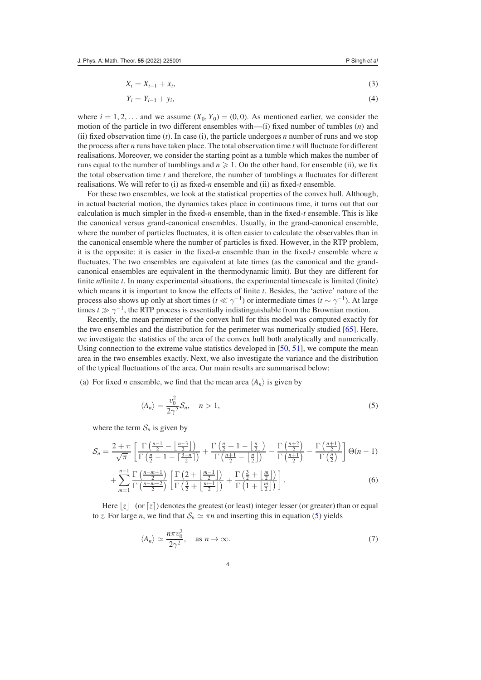$$
X_i = X_{i-1} + x_i,\tag{3}
$$

<span id="page-3-2"></span><span id="page-3-1"></span>
$$
Y_i = Y_{i-1} + y_i,\tag{4}
$$

where  $i = 1, 2, \dots$  and we assume  $(X_0, Y_0) = (0, 0)$ . As mentioned earlier, we consider the motion of the particle in two different ensembles with—(i) fixed number of tumbles (*n*) and (ii) fixed observation time (*t*). In case (i), the particle undergoes *n* number of runs and we stop the process after *n* runs have taken place. The total observation time *t* will fluctuate for different realisations. Moreover, we consider the starting point as a tumble which makes the number of runs equal to the number of tumblings and  $n \geqslant 1$ . On the other hand, for ensemble (ii), we fix the total observation time *t* and therefore, the number of tumblings *n* fluctuates for different realisations. We will refer to (i) as fixed-*n* ensemble and (ii) as fixed-*t* ensemble.

For these two ensembles, we look at the statistical properties of the convex hull. Although, in actual bacterial motion, the dynamics takes place in continuous time, it turns out that our calculation is much simpler in the fixed-*n* ensemble, than in the fixed-*t* ensemble. This is like the canonical versus grand-canonical ensembles. Usually, in the grand-canonical ensemble, where the number of particles fluctuates, it is often easier to calculate the observables than in the canonical ensemble where the number of particles is fixed. However, in the RTP problem, it is the opposite: it is easier in the fixed-*n* ensemble than in the fixed-*t* ensemble where *n* fluctuates. The two ensembles are equivalent at late times (as the canonical and the grandcanonical ensembles are equivalent in the thermodynamic limit). But they are different for finite *n*/finite *t*. In many experimental situations, the experimental timescale is limited (finite) which means it is important to know the effects of finite *t*. Besides, the 'active' nature of the process also shows up only at short times ( $t \ll \gamma^{-1}$ ) or intermediate times ( $t \sim \gamma^{-1}$ ). At large times  $t \gg \gamma^{-1}$ , the RTP process is essentially indistinguishable from the Brownian motion.

Recently, the mean perimeter of the convex hull for this model was computed exactly for the two ensembles and the distribution for the perimeter was numerically studied [\[65\]](#page-23-31). Here, we investigate the statistics of the area of the convex hull both analytically and numerically. Using connection to the extreme value statistics developed in [\[50,](#page-23-21) [51\]](#page-23-22), we compute the mean area in the two ensembles exactly. Next, we also investigate the variance and the distribution of the typical fluctuations of the area. Our main results are summarised below:

(a) For fixed *n* ensemble, we find that the mean area  $\langle A_n \rangle$  is given by

<span id="page-3-3"></span><span id="page-3-0"></span>
$$
\langle A_n \rangle = \frac{v_0^2}{2\gamma^2} \mathcal{S}_n, \quad n > 1,
$$
\n<sup>(5)</sup>

where the term  $S_n$  is given by

$$
\mathcal{S}_n = \frac{2+\pi}{\sqrt{\pi}} \left[ \frac{\Gamma\left(\frac{n-1}{2}-\left\lfloor \frac{n-3}{2} \right\rfloor\right)}{\Gamma\left(\frac{n}{2}-1+\left\lceil \frac{3-n}{2} \right\rceil\right)} + \frac{\Gamma\left(\frac{n}{2}+1-\left\lfloor \frac{n}{2} \right\rfloor\right)}{\Gamma\left(\frac{n+1}{2}-\left\lfloor \frac{n}{2} \right\rfloor\right)} - \frac{\Gamma\left(\frac{n+2}{2}\right)}{\Gamma\left(\frac{n+1}{2}\right)} - \frac{\Gamma\left(\frac{n+1}{2}\right)}{\Gamma\left(\frac{n}{2}\right)} \right] \Theta(n-1) + \sum_{m=1}^{n-1} \frac{\Gamma\left(\frac{n-m+1}{2}\right)}{\Gamma\left(\frac{n-m+2}{2}\right)} \left[ \frac{\Gamma\left(2+\left\lfloor \frac{m-1}{2} \right\rfloor\right)}{\Gamma\left(\frac{3}{2}+\left\lfloor \frac{m-1}{2} \right\rfloor\right)} + \frac{\Gamma\left(\frac{3}{2}+\left\lfloor \frac{m}{2} \right\rfloor\right)}{\Gamma\left(1+\left\lfloor \frac{m}{2} \right\rfloor\right)} \right].
$$
\n(6)

Here  $\lfloor z \rfloor$  (or  $\lceil z \rceil$ ) denotes the greatest (or least) integer lesser (or greater) than or equal to *z*. For large *n*, we find that  $S_n \simeq \pi n$  and inserting this in equation [\(5\)](#page-3-0) yields

$$
\langle A_n \rangle \simeq \frac{n \pi v_0^2}{2\gamma^2}, \quad \text{as } n \to \infty. \tag{7}
$$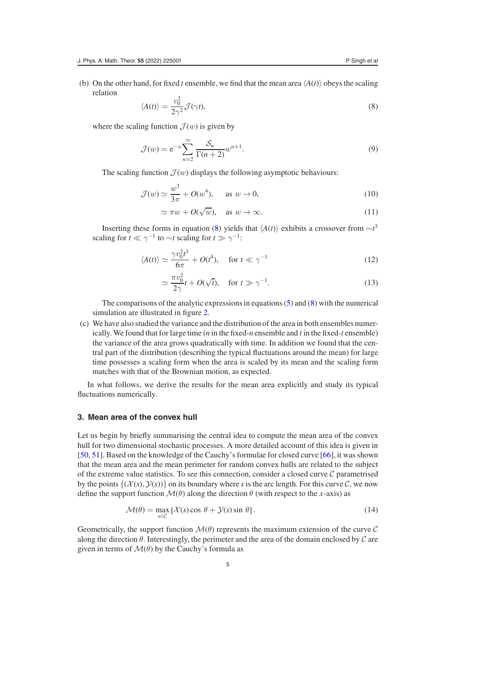(b) On the other hand, for fixed *t* ensemble, we find that the mean area  $\langle A(t) \rangle$  obeys the scaling relation

<span id="page-4-1"></span>
$$
\langle A(t) \rangle = \frac{v_0^2}{2\gamma^2} \mathcal{J}(\gamma t),\tag{8}
$$

where the scaling function  $\mathcal{J}(w)$  is given by

<span id="page-4-2"></span>
$$
\mathcal{J}(w) = e^{-w} \sum_{n=2}^{\infty} \frac{\mathcal{S}_n}{\Gamma(n+2)} w^{n+1}.
$$
\n(9)

The scaling function  $\mathcal{J}(w)$  displays the following asymptotic behaviours:

$$
\mathcal{J}(w) \simeq \frac{w^3}{3\pi} + O(w^4), \quad \text{as } w \to 0,
$$
\n(10)

$$
\simeq \pi w + O(\sqrt{w}), \quad \text{as } w \to \infty. \tag{11}
$$

Inserting these forms in equation [\(8\)](#page-4-1) yields that  $\langle A(t) \rangle$  exhibits a crossover from  $\sim t^3$ scaling for  $t \ll \gamma^{-1}$  to  $\sim t$  scaling for  $t \gg \gamma^{-1}$ :

$$
\langle A(t) \rangle \simeq \frac{\gamma v_0^2 t^3}{6\pi} + O(t^4), \quad \text{for } t \ll \gamma^{-1}
$$
 (12)

<span id="page-4-3"></span>
$$
\simeq \frac{\pi v_0^2}{2\gamma} t + O(\sqrt{t}), \quad \text{for } t \gg \gamma^{-1}.
$$
 (13)

The comparisons of the analytic expressions in equations [\(5\)](#page-3-0) and [\(8\)](#page-4-1) with the numerical simulation are illustrated in figure [2.](#page-10-0)

(c) We have also studied the variance and the distribution of the area in both ensembles numerically. We found that for large time (*n* in the fixed-*n* ensemble and *t* in the fixed-*t* ensemble) the variance of the area grows quadratically with time. In addition we found that the central part of the distribution (describing the typical fluctuations around the mean) for large time possesses a scaling form when the area is scaled by its mean and the scaling form matches with that of the Brownian motion, as expected.

In what follows, we derive the results for the mean area explicitly and study its typical fluctuations numerically.

#### <span id="page-4-0"></span>**3. Mean area of the convex hull**

Let us begin by briefly summarising the central idea to compute the mean area of the convex hull for two dimensional stochastic processes. A more detailed account of this idea is given in [\[50,](#page-23-21) [51\]](#page-23-22). Based on the knowledge of the Cauchy's formulae for closed curve [\[66\]](#page-23-32), it was shown that the mean area and the mean perimeter for random convex hulls are related to the subject of the extreme value statistics. To see this connection, consider a closed curve  $C$  parametrised by the points  $\{(\mathcal{X}(s), \mathcal{Y}(s))\}$  on its boundary where *s* is the arc length. For this curve C, we now define the support function  $\mathcal{M}(\theta)$  along the direction  $\theta$  (with respect to the *x*-axis) as

$$
\mathcal{M}(\theta) = \max_{s \in \mathcal{C}} \left[ \mathcal{X}(s) \cos \theta + \mathcal{Y}(s) \sin \theta \right]. \tag{14}
$$

Geometrically, the support function  $\mathcal{M}(\theta)$  represents the maximum extension of the curve  $\mathcal{C}$ along the direction  $\theta$ . Interestingly, the perimeter and the area of the domain enclosed by  $\mathcal C$  are given in terms of  $\mathcal{M}(\theta)$  by the Cauchy's formula as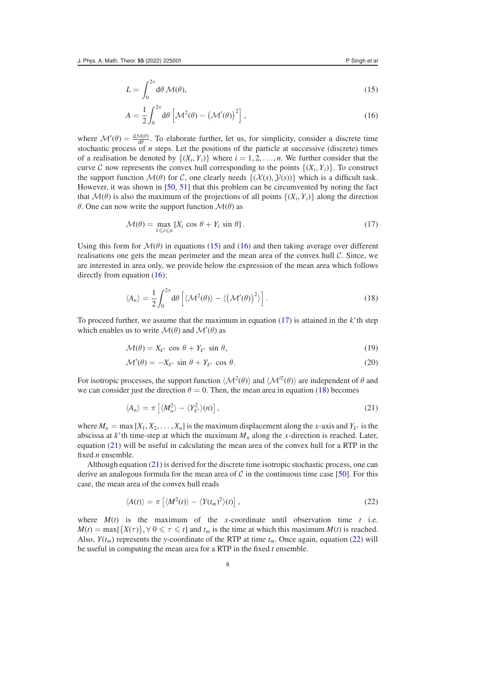$$
L = \int_0^{2\pi} d\theta \, \mathcal{M}(\theta),\tag{15}
$$

<span id="page-5-1"></span><span id="page-5-0"></span>
$$
A = \frac{1}{2} \int_0^{2\pi} d\theta \left[ \mathcal{M}^2(\theta) - \left( \mathcal{M}'(\theta) \right)^2 \right],
$$
\n(16)

where  $\mathcal{M}'(\theta) = \frac{d\mathcal{M}(\theta)}{d\theta}$ . To elaborate further, let us, for simplicity, consider a discrete time stochastic process of *n* steps. Let the positions of the particle at successive (discrete) times of a realisation be denoted by  $\{(X_i, Y_i)\}\$  where  $i = 1, 2, \ldots, n$ . We further consider that the curve C now represents the convex hull corresponding to the points  $\{(X_i, Y_i)\}\$ . To construct the support function  $\mathcal{M}(\theta)$  for C, one clearly needs  $\{(\mathcal{X}(s), \mathcal{Y}(s))\}$  which is a difficult task. However, it was shown in [\[50,](#page-23-21) [51\]](#page-23-22) that this problem can be circumvented by noting the fact that  $\mathcal{M}(\theta)$  is also the maximum of the projections of all points  $\{(X_i, Y_i)\}\)$  along the direction θ. One can now write the support function M(θ) as

<span id="page-5-2"></span>
$$
\mathcal{M}(\theta) = \max_{1 \leq i \leq n} \left[ X_i \cos \theta + Y_i \sin \theta \right]. \tag{17}
$$

Using this form for  $\mathcal{M}(\theta)$  in equations [\(15\)](#page-5-0) and [\(16\)](#page-5-1) and then taking average over different realisations one gets the mean perimeter and the mean area of the convex hull C. Since, we are interested in area only, we provide below the expression of the mean area which follows directly from equation [\(16\)](#page-5-1):

<span id="page-5-3"></span>
$$
\langle A_n \rangle = \frac{1}{2} \int_0^{2\pi} d\theta \left[ \langle \mathcal{M}^2(\theta) \rangle - \langle (\mathcal{M}'(\theta))^2 \rangle \right]. \tag{18}
$$

To proceed further, we assume that the maximum in equation [\(17\)](#page-5-2) is attained in the *k*<sup>∗</sup> th step which enables us to write  $\mathcal{M}(\theta)$  and  $\mathcal{M}'(\theta)$  as

$$
\mathcal{M}(\theta) = X_{k^*} \cos \theta + Y_{k^*} \sin \theta,\tag{19}
$$

$$
\mathcal{M}'(\theta) = -X_{k^*} \sin \theta + Y_{k^*} \cos \theta.
$$
 (20)

For isotropic processes, the support function  $\langle M^2(\theta) \rangle$  and  $\langle M'^2(\theta) \rangle$  are independent of  $\theta$  and we can consider just the direction  $\theta = 0$ . Then, the mean area in equation [\(18\)](#page-5-3) becomes

<span id="page-5-4"></span>
$$
\langle A_n \rangle = \pi \left[ \langle M_n^2 \rangle - \langle Y_{k^*}^2 \rangle(n) \right],\tag{21}
$$

where  $M_n = \max [X_1, X_2, \ldots, X_n]$  is the maximum displacement along the *x*-axis and  $Y_{k^*}$  is the abscissa at  $k^*$ th time-step at which the maximum  $M_n$  along the *x*-direction is reached. Later, equation [\(21\)](#page-5-4) will be useful in calculating the mean area of the convex hull for a RTP in the fixed *n* ensemble.

Although equation [\(21\)](#page-5-4) is derived for the discrete time isotropic stochastic process, one can derive an analogous formula for the mean area of  $C$  in the continuous time case [\[50\]](#page-23-21). For this case, the mean area of the convex hull reads

<span id="page-5-5"></span>
$$
\langle A(t) \rangle = \pi \left[ \langle M^2(t) \rangle - \langle Y(t_m)^2 \rangle(t) \right], \tag{22}
$$

where  $M(t)$  is the maximum of the *x*-coordinate until observation time *t* i.e.  $M(t) = \max\{\{X(\tau)\}, \forall 0 \leq \tau \leq t\}$  and  $t_m$  is the time at which this maximum  $M(t)$  is reached. Also,  $Y(t_m)$  represents the *y*-coordinate of the RTP at time  $t_m$ . Once again, equation [\(22\)](#page-5-5) will be useful in computing the mean area for a RTP in the fixed *t* ensemble.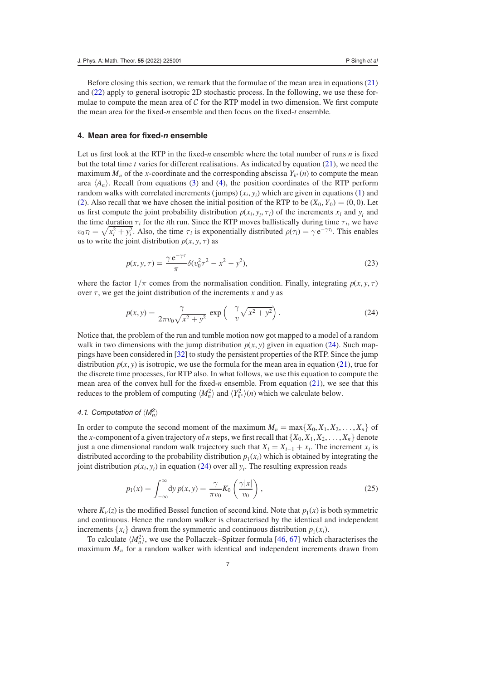Before closing this section, we remark that the formulae of the mean area in equations [\(21\)](#page-5-4) and [\(22\)](#page-5-5) apply to general isotropic 2D stochastic process. In the following, we use these formulae to compute the mean area of  $\mathcal C$  for the RTP model in two dimension. We first compute the mean area for the fixed-*n* ensemble and then focus on the fixed-*t* ensemble.

#### <span id="page-6-0"></span>**4. Mean area for fixed-***n* **ensemble**

Let us first look at the RTP in the fixed- $n$  ensemble where the total number of runs  $n$  is fixed but the total time *t* varies for different realisations. As indicated by equation [\(21\)](#page-5-4), we need the maximum  $M_n$  of the *x*-coordinate and the corresponding abscissa  $Y_{k^*}(n)$  to compute the mean area  $\langle A_n \rangle$ . Recall from equations [\(3\)](#page-3-1) and [\(4\)](#page-3-2), the position coordinates of the RTP perform random walks with correlated increments (jumps)  $(x_i, y_i)$  which are given in equations [\(1\)](#page-2-2) and [\(2\)](#page-2-3). Also recall that we have chosen the initial position of the RTP to be  $(X_0, Y_0) = (0, 0)$ . Let us first compute the joint probability distribution  $p(x_i, y_i, \tau_i)$  of the increments  $x_i$  and  $y_i$  and the time duration  $\tau_i$  for the *i*th run. Since the RTP moves ballistically during time  $\tau_i$ , we have  $v_0\tau_i = \sqrt{x_i^2 + y_i^2}$ . Also, the time  $\tau_i$  is exponentially distributed  $\rho(\tau_i) = \gamma e^{-\gamma \tau_i}$ . This enables us to write the joint distribution  $p(x, y, \tau)$  as

<span id="page-6-3"></span>
$$
p(x, y, \tau) = \frac{\gamma e^{-\gamma \tau}}{\pi} \delta(v_0^2 \tau^2 - x^2 - y^2),
$$
\n(23)

where the factor  $1/\pi$  comes from the normalisation condition. Finally, integrating  $p(x, y, \tau)$ over  $\tau$ , we get the joint distribution of the increments *x* and *y* as

<span id="page-6-1"></span>
$$
p(x, y) = \frac{\gamma}{2\pi v_0 \sqrt{x^2 + y^2}} \exp\left(-\frac{\gamma}{v} \sqrt{x^2 + y^2}\right). \tag{24}
$$

Notice that, the problem of the run and tumble motion now got mapped to a model of a random walk in two dimensions with the jump distribution  $p(x, y)$  given in equation [\(24\)](#page-6-1). Such mappings have been considered in [\[32\]](#page-23-33) to study the persistent properties of the RTP. Since the jump distribution  $p(x, y)$  is isotropic, we use the formula for the mean area in equation [\(21\)](#page-5-4), true for the discrete time processes, for RTP also. In what follows, we use this equation to compute the mean area of the convex hull for the fixed-*n* ensemble. From equation [\(21\)](#page-5-4), we see that this reduces to the problem of computing  $\langle M_n^2 \rangle$  and  $\langle Y_{k^*}^2 \rangle$  *(n)* which we calculate below.

# 4.1. Computation of  $\langle M_n^2 \rangle$

In order to compute the second moment of the maximum  $M_n = \max\{X_0, X_1, X_2, \ldots, X_n\}$  of the *x*-component of a given trajectory of *n* steps, we first recall that  $\{X_0, X_1, X_2, \ldots, X_n\}$  denote just a one dimensional random walk trajectory such that  $X_i = X_{i-1} + x_i$ . The increment  $x_i$  is distributed according to the probability distribution  $p_1(x_i)$  which is obtained by integrating the joint distribution  $p(x_i, y_i)$  in equation [\(24\)](#page-6-1) over all  $y_i$ . The resulting expression reads

<span id="page-6-2"></span>
$$
p_1(x) = \int_{-\infty}^{\infty} dy \, p(x, y) = \frac{\gamma}{\pi v_0} K_0 \left( \frac{\gamma |x|}{v_0} \right),\tag{25}
$$

where  $K_{\nu}(z)$  is the modified Bessel function of second kind. Note that  $p_1(x)$  is both symmetric and continuous. Hence the random walker is characterised by the identical and independent increments  $\{x_i\}$  drawn from the symmetric and continuous distribution  $p_1(x_i)$ .

To calculate  $\langle M_n^2 \rangle$ , we use the Pollaczek–Spitzer formula [\[46,](#page-23-34) [67\]](#page-23-35) which characterises the maximum  $M_n$  for a random walker with identical and independent increments drawn from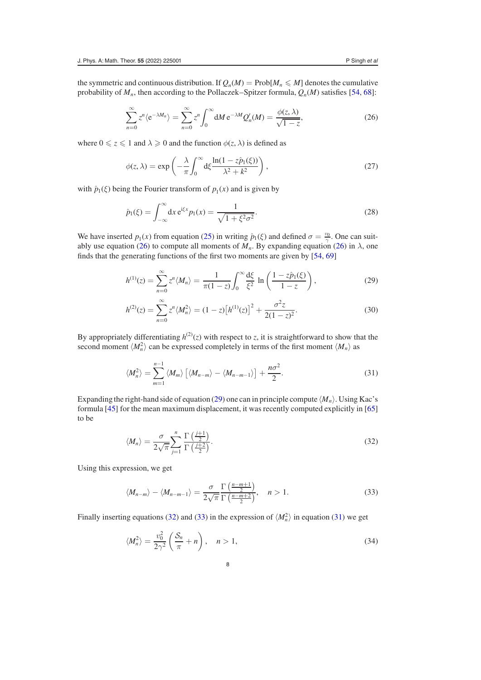the symmetric and continuous distribution. If  $Q_n(M) = \text{Prob}[M_n \leq M]$  denotes the cumulative probability of  $M_n$ , then according to the Pollaczek–Spitzer formula,  $Q_n(M)$  satisfies [\[54,](#page-23-25) [68\]](#page-23-36):

<span id="page-7-0"></span>
$$
\sum_{n=0}^{\infty} z^n \langle e^{-\lambda M_n} \rangle = \sum_{n=0}^{\infty} z^n \int_0^{\infty} dM \, e^{-\lambda M} Q'_n(M) = \frac{\phi(z, \lambda)}{\sqrt{1 - z}},\tag{26}
$$

where  $0 \le z \le 1$  and  $\lambda \ge 0$  and the function  $\phi(z, \lambda)$  is defined as

$$
\phi(z,\lambda) = \exp\left(-\frac{\lambda}{\pi} \int_0^\infty d\xi \frac{\ln(1 - z\hat{p}_1(\xi))}{\lambda^2 + k^2}\right),\tag{27}
$$

with  $\hat{p}_1(\xi)$  being the Fourier transform of  $p_1(x)$  and is given by

$$
\hat{p}_1(\xi) = \int_{-\infty}^{\infty} dx \, e^{i\xi x} p_1(x) = \frac{1}{\sqrt{1 + \xi^2 \sigma^2}}.
$$
\n(28)

We have inserted  $p_1(x)$  from equation [\(25\)](#page-6-2) in writing  $\hat{p}_1(\xi)$  and defined  $\sigma = \frac{v_0}{\gamma}$ . One can suit-ably use equation [\(26\)](#page-7-0) to compute all moments of  $M_n$ . By expanding equation (26) in  $\lambda$ , one finds that the generating functions of the first two moments are given by [\[54,](#page-23-25) [69\]](#page-23-37)

<span id="page-7-1"></span>
$$
h^{(1)}(z) = \sum_{n=0}^{\infty} z^n \langle M_n \rangle = \frac{1}{\pi (1-z)} \int_0^{\infty} \frac{d\xi}{\xi^2} \ln \left( \frac{1-z\hat{p}_1(\xi)}{1-z} \right),\tag{29}
$$

<span id="page-7-6"></span>
$$
h^{(2)}(z) = \sum_{n=0}^{\infty} z^n \langle M_n^2 \rangle = (1-z) \left[ h^{(1)}(z) \right]^2 + \frac{\sigma^2 z}{2(1-z)^2}.
$$
 (30)

By appropriately differentiating  $h^{(2)}(z)$  with respect to *z*, it is straightforward to show that the second moment  $\langle M_n^2 \rangle$  can be expressed completely in terms of the first moment  $\langle M_n \rangle$  as

<span id="page-7-4"></span>
$$
\langle M_n^2 \rangle = \sum_{m=1}^{n-1} \langle M_m \rangle \left[ \langle M_{n-m} \rangle - \langle M_{n-m-1} \rangle \right] + \frac{n \sigma^2}{2}.
$$
 (31)

Expanding the right-hand side of equation [\(29\)](#page-7-1) one can in principle compute  $\langle M_n \rangle$ . Using Kac's formula [\[45\]](#page-23-19) for the mean maximum displacement, it was recently computed explicitly in [\[65\]](#page-23-31) to be

<span id="page-7-2"></span>
$$
\langle M_n \rangle = \frac{\sigma}{2\sqrt{\pi}} \sum_{j=1}^n \frac{\Gamma\left(\frac{j+1}{2}\right)}{\Gamma\left(\frac{j+2}{2}\right)}.
$$
\n(32)

Using this expression, we get

<span id="page-7-3"></span>
$$
\langle M_{n-m} \rangle - \langle M_{n-m-1} \rangle = \frac{\sigma}{2\sqrt{\pi}} \frac{\Gamma\left(\frac{n-m+1}{2}\right)}{\Gamma\left(\frac{n-m+2}{2}\right)}, \quad n > 1.
$$
 (33)

Finally inserting equations [\(32\)](#page-7-2) and [\(33\)](#page-7-3) in the expression of  $\langle M_n^2 \rangle$  in equation [\(31\)](#page-7-4) we get

<span id="page-7-5"></span>
$$
\langle M_n^2 \rangle = \frac{v_0^2}{2\gamma^2} \left( \frac{S_n}{\pi} + n \right), \quad n > 1,
$$
\n(34)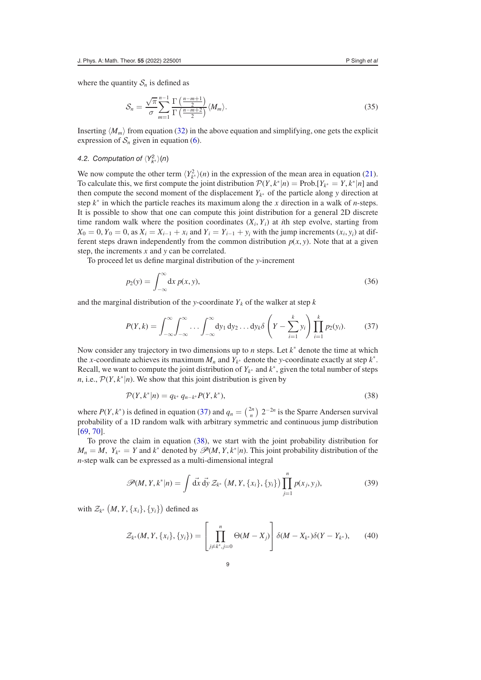where the quantity  $S_n$  is defined as

<span id="page-8-5"></span>
$$
S_n = \frac{\sqrt{\pi}}{\sigma} \sum_{m=1}^{n-1} \frac{\Gamma\left(\frac{n-m+1}{2}\right)}{\Gamma\left(\frac{n-m+2}{2}\right)} \langle M_m \rangle.
$$
 (35)

Inserting  $\langle M_m \rangle$  from equation [\(32\)](#page-7-2) in the above equation and simplifying, one gets the explicit expression of  $S_n$  given in equation [\(6\)](#page-3-3).

# <span id="page-8-4"></span>4.2. Computation of  $\langle Y^2_{k^*} \rangle$ (n)

We now compute the other term  $\langle Y_{k^*}^2 \rangle(n)$  in the expression of the mean area in equation [\(21\)](#page-5-4). To calculate this, we first compute the joint distribution  $\mathcal{P}(Y, k^*|n) = \text{Prob}[Y_{k^*} = Y, k^*|n]$  and then compute the second moment of the displacement  $Y_{k^*}$  of the particle along *y* direction at step *k*<sup>∗</sup> in which the particle reaches its maximum along the *x* direction in a walk of *n*-steps. It is possible to show that one can compute this joint distribution for a general 2D discrete time random walk where the position coordinates  $(X_i, Y_i)$  at *i*th step evolve, starting from  $X_0 = 0, Y_0 = 0$ , as  $X_i = X_{i-1} + x_i$  and  $Y_i = Y_{i-1} + y_i$  with the jump increments  $(x_i, y_i)$  at different steps drawn independently from the common distribution  $p(x, y)$ . Note that at a given step, the increments *x* and *y* can be correlated.

To proceed let us define marginal distribution of the *y*-increment

<span id="page-8-3"></span>
$$
p_2(y) = \int_{-\infty}^{\infty} dx \, p(x, y),\tag{36}
$$

and the marginal distribution of the *y*-coordinate  $Y_k$  of the walker at step  $k$ 

<span id="page-8-0"></span>
$$
P(Y,k) = \int_{-\infty}^{\infty} \int_{-\infty}^{\infty} \dots \int_{-\infty}^{\infty} dy_1 dy_2 \dots dy_k \delta\left(Y - \sum_{i=1}^k y_i\right) \prod_{i=1}^k p_2(y_i). \tag{37}
$$

Now consider any trajectory in two dimensions up to *n* steps. Let *k*<sup>∗</sup> denote the time at which the *x*-coordinate achieves its maximum  $M_n$  and  $Y_{k^*}$  denote the *y*-coordinate exactly at step  $k^*$ . Recall, we want to compute the joint distribution of  $Y_{k^*}$  and  $k^*$ , given the total number of steps *n*, i.e.,  $\mathcal{P}(Y, k^*|n)$ . We show that this joint distribution is given by

<span id="page-8-1"></span>
$$
\mathcal{P}(Y,k^*|n) = q_{k^*} q_{n-k^*} P(Y,k^*),
$$
\n(38)

where  $P(Y, k^*)$  is defined in equation [\(37\)](#page-8-0) and  $q_n = \binom{2n}{n} 2^{-2n}$  is the Sparre Andersen survival probability of a 1D random walk with arbitrary symmetric and continuous jump distribution [\[69,](#page-23-37) [70\]](#page-23-38).

To prove the claim in equation [\(38\)](#page-8-1), we start with the joint probability distribution for  $M_n = M$ ,  $Y_{k^*} = Y$  and  $k^*$  denoted by  $\mathscr{P}(M, Y, k^*|n)$ . This joint probability distribution of the *n*-step walk can be expressed as a multi-dimensional integral

<span id="page-8-2"></span>
$$
\mathscr{P}(M, Y, k^*|n) = \int d\vec{x} \, d\vec{y} \, Z_{k^*} \left(M, Y, \{x_i\}, \{y_i\}\right) \prod_{j=1}^n p(x_j, y_j),\tag{39}
$$

with  $\mathcal{Z}_{k^*}(M, Y, \{x_i\}, \{y_i\})$  defined as

$$
\mathcal{Z}_{k^*}(M, Y, \{x_i\}, \{y_i\}) = \left[\prod_{j \neq k^*, j=0}^n \Theta(M - X_j)\right] \delta(M - X_{k^*})\delta(Y - Y_{k^*}),\tag{40}
$$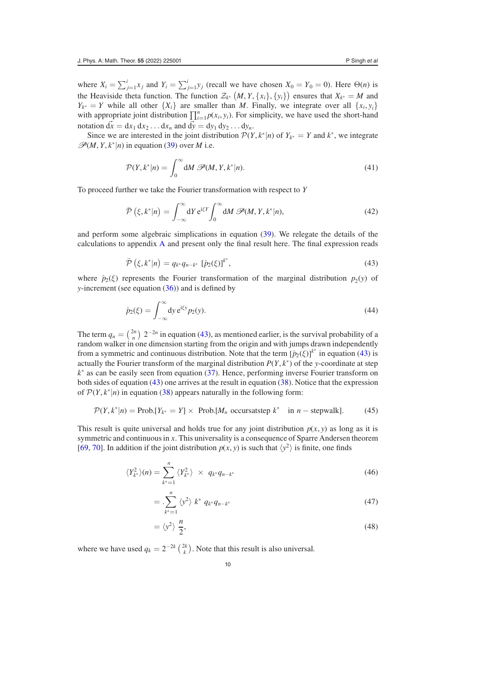where  $X_i = \sum_{j=1}^i x_j$  and  $Y_i = \sum_{j=1}^i y_j$  (recall we have chosen  $X_0 = Y_0 = 0$ ). Here  $\Theta(n)$  is the Heaviside theta function. The function  $\mathcal{Z}_{k^*}(M, Y, \{x_i\}, \{y_i\})$  ensures that  $X_{k^*} = M$  and  $Y_{k^*} = Y$  while all other  $\{X_i\}$  are smaller than *M*. Finally, we integrate over all  $\{x_i, y_i\}$ with appropriate joint distribution  $\prod_{i=1}^{n} p(x_i, y_i)$ . For simplicity, we have used the short-hand notation  $\vec{dx} = dx_1 dx_2 \dots dx_n$  and  $\vec{dy} = dy_1 dy_2 \dots dy_n$ .

Since we are interested in the joint distribution  $P(Y, k^*|n)$  of  $Y_{k^*} = Y$  and  $k^*$ , we integrate  $\mathscr{P}(M, Y, k^*|n)$  in equation [\(39\)](#page-8-2) over *M* i.e.

$$
\mathcal{P}(Y,k^*|n) = \int_0^\infty \mathrm{d}M \ \mathcal{P}(M,Y,k^*|n). \tag{41}
$$

To proceed further we take the Fourier transformation with respect to *Y*

<span id="page-9-3"></span>
$$
\bar{\mathcal{P}}\left(\xi, k^*|n\right) = \int_{-\infty}^{\infty} dY \, \mathrm{e}^{\mathrm{i}\xi Y} \int_0^{\infty} dM \, \mathcal{P}(M, Y, k^*|n),\tag{42}
$$

and perform some algebraic simplications in equation [\(39\)](#page-8-2). We relegate the details of the calculations to appendix [A](#page-18-0) and present only the final result here. The final expression reads

$$
\bar{\mathcal{P}}\left(\xi, k^*|n\right) = q_{k^*} q_{n-k^*} \left[\hat{p}_2(\xi)\right]^{k^*},\tag{43}
$$

<span id="page-9-0"></span>where  $\hat{p}_2(\xi)$  represents the Fourier transformation of the marginal distribution  $p_2(y)$  of *y*-increment (see equation [\(36\)](#page-8-3)) and is defined by

$$
\hat{p}_2(\xi) = \int_{-\infty}^{\infty} dy \, \mathrm{e}^{\mathrm{i}\xi y} p_2(y). \tag{44}
$$

The term  $q_n = \binom{2n}{n} 2^{-2n}$  in equation [\(43\)](#page-9-0), as mentioned earlier, is the survival probability of a random walker in one dimension starting from the origin and with jumps drawn independently from a symmetric and continuous distribution. Note that the term  $[\hat{p}_2(\xi)]^{k^*}$  in equation [\(43\)](#page-9-0) is actually the Fourier transform of the marginal distribution  $P(Y, k^*)$  of the *y*-coordinate at step *k*<sup>∗</sup> as can be easily seen from equation [\(37\)](#page-8-0). Hence, performing inverse Fourier transform on both sides of equation [\(43\)](#page-9-0) one arrives at the result in equation [\(38\)](#page-8-1). Notice that the expression of  $\mathcal{P}(Y, k^*|n)$  in equation [\(38\)](#page-8-1) appears naturally in the following form:

$$
\mathcal{P}(Y, k^*|n) = \text{Prob.}[Y_{k^*} = Y] \times \text{Prob.}[M_n \text{ occursatstep } k^* \text{ in } n - \text{stepwalk}]. \tag{45}
$$

This result is quite universal and holds true for any joint distribution  $p(x, y)$  as long as it is symmetric and continuous in *x*. This universality is a consequence of Sparre Andersen theorem [\[69,](#page-23-37) [70\]](#page-23-38). In addition if the joint distribution  $p(x, y)$  is such that  $\langle y^2 \rangle$  is finite, one finds

$$
\langle Y_{k^*}^2 \rangle(n) = \sum_{k^*=1}^n \langle Y_{k^*}^2 \rangle \times q_{k^*} q_{n-k^*}
$$
\n(46)

<span id="page-9-1"></span>
$$
= \sum_{k^*=1}^n \left\langle y^2 \right\rangle k^* q_{k^*} q_{n-k^*}
$$
\n
$$
(47)
$$

<span id="page-9-2"></span>
$$
=\langle y^2\rangle \frac{n}{2},\tag{48}
$$

where we have used  $q_k = 2^{-2k} \binom{2k}{k}$ . Note that this result is also universal.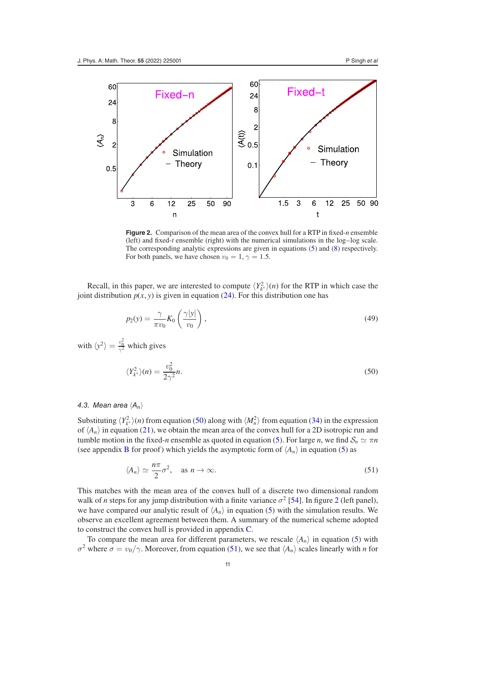<span id="page-10-0"></span>

**Figure 2.** Comparison of the mean area of the convex hull for a RTP in fixed-*n* ensemble (left) and fixed-*t* ensemble (right) with the numerical simulations in the log–log scale. The corresponding analytic expressions are given in equations [\(5\)](#page-3-0) and [\(8\)](#page-4-1) respectively. For both panels, we have chosen  $v_0 = 1$ ,  $\gamma = 1.5$ .

Recall, in this paper, we are interested to compute  $\langle Y^2_{k^*} \rangle(n)$  for the RTP in which case the joint distribution  $p(x, y)$  is given in equation [\(24\)](#page-6-1). For this distribution one has

$$
p_2(y) = \frac{\gamma}{\pi v_0} K_0 \left( \frac{\gamma |y|}{v_0} \right),\tag{49}
$$

with  $\langle y^2 \rangle = \frac{v_0^2}{\gamma^2}$  which gives

<span id="page-10-1"></span>
$$
\langle Y_{k^*}^2 \rangle(n) = \frac{v_0^2}{2\gamma^2}n. \tag{50}
$$

#### 4.3. Mean area  $\langle A_n \rangle$

Substituting  $\langle Y^2_{k^*} \rangle(n)$  from equation [\(50\)](#page-10-1) along with  $\langle M^2_n \rangle$  from equation [\(34\)](#page-7-5) in the expression of  $\langle A_n \rangle$  in equation [\(21\)](#page-5-4), we obtain the mean area of the convex hull for a 2D isotropic run and tumble motion in the fixed-*n* ensemble as quoted in equation [\(5\)](#page-3-0). For large *n*, we find  $S_n \simeq \pi n$ (see appendix [B](#page-20-0) for proof) which yields the asymptotic form of  $\langle A_n \rangle$  in equation [\(5\)](#page-3-0) as

<span id="page-10-2"></span>
$$
\langle A_n \rangle \simeq \frac{n\pi}{2} \sigma^2, \quad \text{as } n \to \infty. \tag{51}
$$

This matches with the mean area of the convex hull of a discrete two dimensional random walk of *n* steps for any jump distribution with a finite variance  $\sigma^2$  $\sigma^2$  [\[54\]](#page-23-25). In figure 2 (left panel), we have compared our analytic result of  $\langle A_n \rangle$  in equation [\(5\)](#page-3-0) with the simulation results. We observe an excellent agreement between them. A summary of the numerical scheme adopted to construct the convex hull is provided in appendix [C.](#page-21-0)

To compare the mean area for different parameters, we rescale  $\langle A_n \rangle$  in equation [\(5\)](#page-3-0) with σ<sup>2</sup> where  $σ = v_0/γ$ . Moreover, from equation [\(51\)](#page-10-2), we see that  $\langle A_n \rangle$  scales linearly with *n* for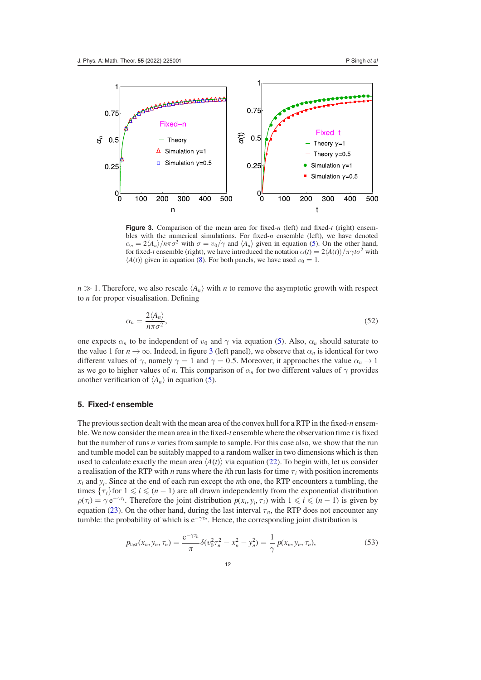<span id="page-11-1"></span>

**Figure 3.** Comparison of the mean area for fixed-*n* (left) and fixed-*t* (right) ensembles with the numerical simulations. For fixed-*n* ensemble (left), we have denoted  $\alpha_n = 2\langle A_n \rangle / n\pi\sigma^2$  with  $\sigma = v_0/\gamma$  and  $\langle A_n \rangle$  given in equation [\(5\)](#page-3-0). On the other hand, for fixed-*t* ensemble (right), we have introduced the notation  $\alpha(t) = 2\langle A(t) \rangle / \pi \gamma t \sigma^2$  with  $\langle A(t) \rangle$  given in equation [\(8\)](#page-4-1). For both panels, we have used  $v_0 = 1$ .

 $n \gg 1$ . Therefore, we also rescale  $\langle A_n \rangle$  with *n* to remove the asymptotic growth with respect to *n* for proper visualisation. Defining

<span id="page-11-2"></span>
$$
\alpha_n = \frac{2 \langle A_n \rangle}{n \pi \sigma^2},\tag{52}
$$

one expects  $\alpha_n$  to be independent of  $v_0$  and  $\gamma$  via equation [\(5\)](#page-3-0). Also,  $\alpha_n$  should saturate to the value 1 for  $n \to \infty$ . Indeed, in figure [3](#page-11-1) (left panel), we observe that  $\alpha_n$  is identical for two different values of  $\gamma$ , namely  $\gamma = 1$  and  $\gamma = 0.5$ . Moreover, it approaches the value  $\alpha_n \to 1$ as we go to higher values of *n*. This comparison of  $\alpha_n$  for two different values of  $\gamma$  provides another verification of  $\langle A_n \rangle$  in equation [\(5\)](#page-3-0).

#### <span id="page-11-0"></span>**5. Fixed-***t* **ensemble**

The previous section dealt with the mean area of the convex hull for a RTP in the fixed-*n* ensemble. We now consider the mean area in the fixed-*t* ensemble where the observation time *t* is fixed but the number of runs *n* varies from sample to sample. For this case also, we show that the run and tumble model can be suitably mapped to a random walker in two dimensions which is then used to calculate exactly the mean area  $\langle A(t) \rangle$  via equation [\(22\)](#page-5-5). To begin with, let us consider a realisation of the RTP with *n* runs where the *i*th run lasts for time  $\tau_i$  with position increments  $x_i$  and  $y_i$ . Since at the end of each run except the *n*th one, the RTP encounters a tumbling, the times  $\{\tau_i\}$ for  $1 \leq i \leq (n-1)$  are all drawn independently from the exponential distribution  $\rho(\tau_i) = \gamma e^{-\gamma \tau_i}$ . Therefore the joint distribution  $p(x_i, y_i, \tau_i)$  with  $1 \leq i \leq (n-1)$  is given by equation [\(23\)](#page-6-3). On the other hand, during the last interval  $\tau_n$ , the RTP does not encounter any tumble: the probability of which is e<sup>−γτ<sub>*n*</sub></sup>. Hence, the corresponding joint distribution is

$$
p_{\text{last}}(x_n, y_n, \tau_n) = \frac{e^{-\gamma \tau_n}}{\pi} \delta(v_0^2 \tau_n^2 - x_n^2 - y_n^2) = \frac{1}{\gamma} p(x_n, y_n, \tau_n), \tag{53}
$$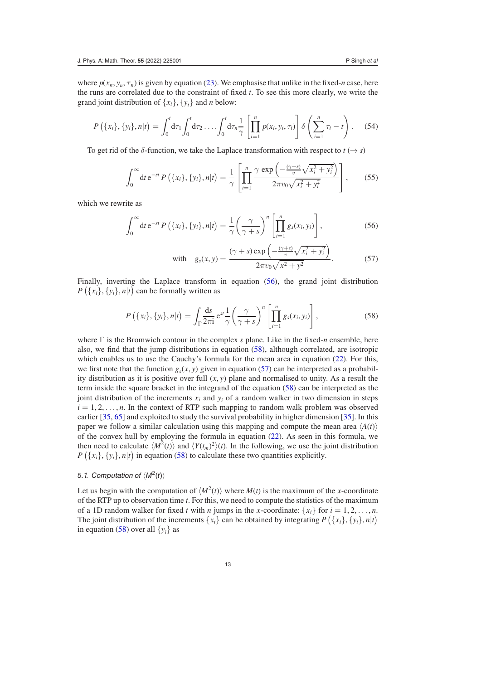where  $p(x_n, y_n, \tau_n)$  is given by equation [\(23\)](#page-6-3). We emphasise that unlike in the fixed-*n* case, here the runs are correlated due to the constraint of fixed *t*. To see this more clearly, we write the grand joint distribution of  $\{x_i\}$ ,  $\{y_i\}$  and *n* below:

$$
P(\{x_i\}, \{y_i\}, n|t) = \int_0^t d\tau_1 \int_0^t d\tau_2 \dots \int_0^t d\tau_n \frac{1}{\gamma} \left[ \prod_{i=1}^n p(x_i, y_i, \tau_i) \right] \delta \left( \sum_{i=1}^n \tau_i - t \right). \tag{54}
$$

To get rid of the  $\delta$ -function, we take the Laplace transformation with respect to  $t \rightarrow s$ )

$$
\int_0^\infty dt \, e^{-st} P\left(\{x_i\}, \{y_i\}, n | t\right) = \frac{1}{\gamma} \left[ \prod_{i=1}^n \frac{\gamma \exp\left(-\frac{(\gamma+s)}{v} \sqrt{x_i^2 + y_i^2}\right)}{2\pi v_0 \sqrt{x_i^2 + y_i^2}} \right],\tag{55}
$$

which we rewrite as

$$
\int_0^\infty dt \, \mathrm{e}^{-st} P\left(\{x_i\}, \{y_i\}, n|t\right) = \frac{1}{\gamma} \left(\frac{\gamma}{\gamma + s}\right)^n \left[\prod_{i=1}^n g_s(x_i, y_i)\right],\tag{56}
$$

<span id="page-12-2"></span><span id="page-12-1"></span><span id="page-12-0"></span>with 
$$
g_s(x, y) = \frac{(\gamma + s) \exp\left(-\frac{(\gamma + s)}{v} \sqrt{x_i^2 + y_i^2}\right)}{2\pi v_0 \sqrt{x^2 + y^2}}
$$
. (57)

Finally, inverting the Laplace transform in equation [\(56\)](#page-12-0), the grand joint distribution  $P(\lbrace x_i \rbrace, \lbrace y_i \rbrace, n | t)$  can be formally written as

$$
P\left(\{x_i\}, \{y_i\}, n | t\right) = \int_{\Gamma} \frac{ds}{2\pi i} e^{st} \frac{1}{\gamma} \left(\frac{\gamma}{\gamma + s}\right)^n \left[\prod_{i=1}^n g_s(x_i, y_i)\right],\tag{58}
$$

where Γ is the Bromwich contour in the complex *s* plane. Like in the fixed-*n* ensemble, here also, we find that the jump distributions in equation [\(58\)](#page-12-1), although correlated, are isotropic which enables us to use the Cauchy's formula for the mean area in equation [\(22\)](#page-5-5). For this, we first note that the function  $g_s(x, y)$  given in equation [\(57\)](#page-12-2) can be interpreted as a probability distribution as it is positive over full  $(x, y)$  plane and normalised to unity. As a result the term inside the square bracket in the integrand of the equation [\(58\)](#page-12-1) can be interpreted as the joint distribution of the increments  $x_i$  and  $y_i$  of a random walker in two dimension in steps  $i = 1, 2, \ldots, n$ . In the context of RTP such mapping to random walk problem was observed earlier [\[35,](#page-23-11) [65\]](#page-23-31) and exploited to study the survival probability in higher dimension [\[35\]](#page-23-11). In this paper we follow a similar calculation using this mapping and compute the mean area  $\langle A(t) \rangle$ of the convex hull by employing the formula in equation [\(22\)](#page-5-5). As seen in this formula, we then need to calculate  $\langle M^2(t) \rangle$  and  $\langle Y(t_m)^2 \rangle(t)$ . In the following, we use the joint distribution  $P\left({x_i}, {y_i}, n|t\right)$  in equation [\(58\)](#page-12-1) to calculate these two quantities explicitly.

## 5.1. Computation of  $\langle M^2(t) \rangle$

Let us begin with the computation of  $\langle M^2(t) \rangle$  where  $M(t)$  is the maximum of the *x*-coordinate of the RTP up to observation time *t*. For this, we need to compute the statistics of the maximum of a 1D random walker for fixed *t* with *n* jumps in the *x*-coordinate:  $\{x_i\}$  for  $i = 1, 2, ..., n$ . The joint distribution of the increments  $\{x_i\}$  can be obtained by integrating  $P\left(\{x_i\}, \{y_i\}, n|t\right)$ in equation [\(58\)](#page-12-1) over all  $\{y_i\}$  as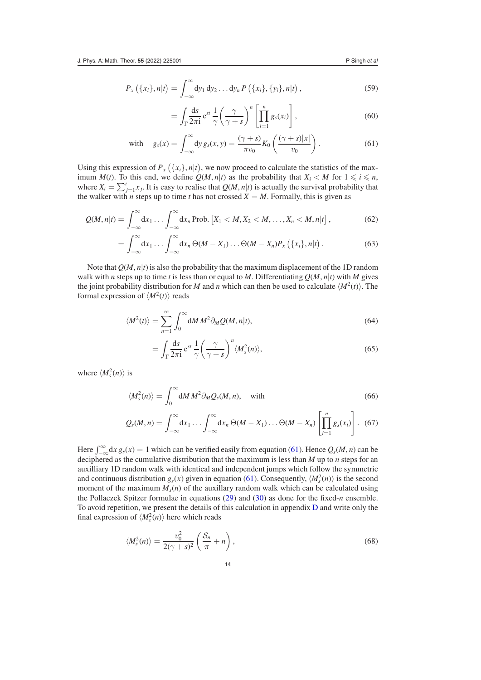$$
P_{x}\left(\{x_{i}\},n|t\right)=\int_{-\infty}^{\infty}dy_{1} dy_{2}...dy_{n} P\left(\{x_{i}\},\{y_{i}\},n|t\right), \qquad (59)
$$

<span id="page-13-0"></span>
$$
= \int_{\Gamma} \frac{ds}{2\pi i} e^{st} \frac{1}{\gamma} \left( \frac{\gamma}{\gamma + s} \right)^n \left[ \prod_{i=1}^n g_s(x_i) \right], \tag{60}
$$

with 
$$
g_s(x) = \int_{-\infty}^{\infty} dy \, g_s(x, y) = \frac{(\gamma + s)}{\pi v_0} K_0 \left( \frac{(\gamma + s)|x|}{v_0} \right).
$$
 (61)

Using this expression of  $P_x(\lbrace x_i \rbrace, n | t)$ , we now proceed to calculate the statistics of the maximum *M*(*t*). To this end, we define  $Q(M, n|t)$  as the probability that  $X_i < M$  for  $1 \leq i \leq n$ , where  $X_i = \sum_{j=1}^i x_j$ . It is easy to realise that  $Q(M, n|t)$  is actually the survival probability that the walker with *n* steps up to time *t* has not crossed  $X = M$ . Formally, this is given as

$$
Q(M,n|t)=\int_{-\infty}^{\infty}dx_1\ldots\int_{-\infty}^{\infty}dx_n \text{ Prob.}\left[X_1\lt M,X_2\lt M,\ldots,X_n\lt M,n|t\right],\qquad (62)
$$

$$
= \int_{-\infty}^{\infty} dx_1 \ldots \int_{-\infty}^{\infty} dx_n \Theta(M - X_1) \ldots \Theta(M - X_n) P_x \left( \{x_i\}, n \middle| t \right). \tag{63}
$$

Note that  $Q(M, n|t)$  is also the probability that the maximum displacement of the 1D random walk with *n* steps up to time *t* is less than or equal to *M*. Differentiating  $Q(M, n|t)$  with *M* gives the joint probability distribution for *M* and *n* which can then be used to calculate  $\langle M^2(t) \rangle$ . The formal expression of  $\langle M^2(t) \rangle$  reads

$$
\langle M^2(t) \rangle = \sum_{n=1}^{\infty} \int_0^{\infty} dM \, M^2 \partial_M Q(M, n|t), \tag{64}
$$

<span id="page-13-3"></span><span id="page-13-1"></span>
$$
= \int_{\Gamma} \frac{\mathrm{d}s}{2\pi \mathrm{i}} \,\mathrm{e}^{st} \,\frac{1}{\gamma} \left(\frac{\gamma}{\gamma + s}\right)^n \langle M_s^2(n) \rangle,\tag{65}
$$

where  $\langle M_s^2(n) \rangle$  is

$$
\langle M_s^2(n) \rangle = \int_0^\infty \mathrm{d}M \, M^2 \partial_M Q_s(M, n), \quad \text{with} \tag{66}
$$

$$
Q_s(M,n) = \int_{-\infty}^{\infty} dx_1 \ldots \int_{-\infty}^{\infty} dx_n \, \Theta(M-X_1) \ldots \Theta(M-X_n) \left[ \prod_{i=1}^n g_s(x_i) \right]. \tag{67}
$$

Here  $\int_{-\infty}^{\infty} dx g_s(x) = 1$  which can be verified easily from equation [\(61\)](#page-13-0). Hence  $Q_s(M, n)$  can be deciphered as the cumulative distribution that the maximum is less than *M* up to *n* steps for an auxilliary 1D random walk with identical and independent jumps which follow the symmetric and continuous distribution  $g_s(x)$  given in equation [\(61\)](#page-13-0). Consequently,  $\langle M_s^2(n) \rangle$  is the second moment of the maximum  $M_s(n)$  of the auxillary random walk which can be calculated using the Pollaczek Spitzer formulae in equations [\(29\)](#page-7-1) and [\(30\)](#page-7-6) as done for the fixed-*n* ensemble. To avoid repetition, we present the details of this calculation in appendix [D](#page-21-1) and write only the final expression of  $\langle M_s^2(n) \rangle$  here which reads

<span id="page-13-2"></span>
$$
\langle M_s^2(n)\rangle = \frac{v_0^2}{2(\gamma + s)^2} \left(\frac{S_n}{\pi} + n\right),\tag{68}
$$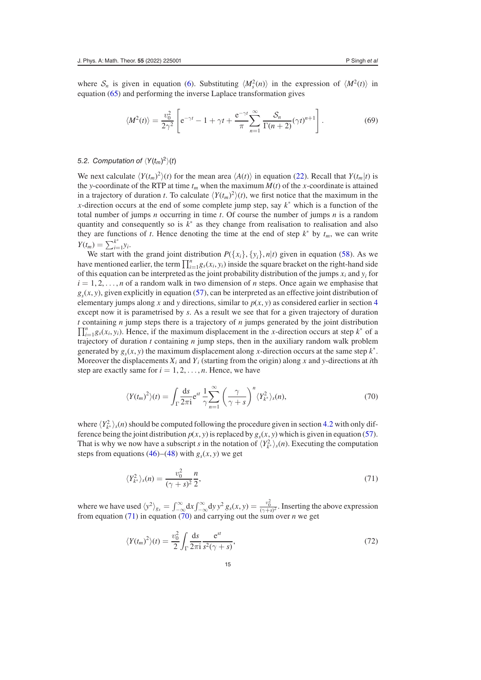where  $S_n$  is given in equation [\(6\)](#page-3-3). Substituting  $\langle M_s^2(n) \rangle$  in the expression of  $\langle M_s^2(t) \rangle$  in equation [\(65\)](#page-13-1) and performing the inverse Laplace transformation gives

<span id="page-14-2"></span>
$$
\langle M^2(t) \rangle = \frac{v_0^2}{2\gamma^2} \left[ e^{-\gamma t} - 1 + \gamma t + \frac{e^{-\gamma t}}{\pi} \sum_{n=1}^{\infty} \frac{S_n}{\Gamma(n+2)} (\gamma t)^{n+1} \right].
$$
 (69)

## 5.2. Computation of  $\langle Y(t_m)^2\rangle(t)$

We next calculate  $\langle Y(t_m)^2 \rangle(t)$  for the mean area  $\langle A(t) \rangle$  in equation [\(22\)](#page-5-5). Recall that  $Y(t_m|t)$  is the *y*-coordinate of the RTP at time  $t_m$  when the maximum  $M(t)$  of the *x*-coordinate is attained in a trajectory of duration *t*. To calculate  $\langle Y(t_m)^2 \rangle(t)$ , we first notice that the maximum in the *x*-direction occurs at the end of some complete jump step, say *k*<sup>∗</sup> which is a function of the total number of jumps *n* occurring in time *t*. Of course the number of jumps *n* is a random quantity and consequently so is *k*<sup>∗</sup> as they change from realisation to realisation and also they are functions of *t*. Hence denoting the time at the end of step  $k^*$  by  $t_m$ , we can write *Y*(*t<sub>m</sub>*) =  $\sum_{i=1}^{k^*} y_i$ .

We start with the grand joint distribution  $P({x_i}, {y_i}, n|t)$  given in equation [\(58\)](#page-12-1). As we have mentioned earlier, the term  $\prod_{i=1}^{n} g_s(x_i, y_i)$  inside the square bracket on the right-hand side of this equation can be interpreted as the joint probability distribution of the jumps  $x_i$  and  $y_i$  for  $i = 1, 2, \ldots, n$  of a random walk in two dimension of *n* steps. Once again we emphasise that  $g<sub>s</sub>(x, y)$ , given explicitly in equation [\(57\)](#page-12-2), can be interpreted as an effective joint distribution of elementary jumps along *x* and *y* directions, similar to  $p(x, y)$  as considered earlier in section [4](#page-6-0) except now it is parametrised by *s*. As a result we see that for a given trajectory of duration  $\prod_{i=1}^{n} g_s(x_i, y_i)$ . Hence, if the maximum displacement in the *x*-direction occurs at step  $k^*$  of a *<sup>t</sup>* containing *<sup>n</sup>* jump steps there is a trajectory of *<sup>n</sup>* jumps generated by the joint distribution *<sup>n</sup>* trajectory of duration *t* containing *n* jump steps, then in the auxiliary random walk problem generated by  $g_s(x, y)$  the maximum displacement along *x*-direction occurs at the same step  $k^*$ . Moreover the displacements  $X_i$  and  $Y_i$  (starting from the origin) along x and y-directions at *i*th step are exactly same for  $i = 1, 2, \ldots, n$ . Hence, we have

<span id="page-14-1"></span>
$$
\langle Y(t_m)^2 \rangle(t) = \int_{\Gamma} \frac{\mathrm{d}s}{2\pi i} \mathrm{e}^{st} \frac{1}{\gamma} \sum_{n=1}^{\infty} \left( \frac{\gamma}{\gamma + s} \right)^n \langle Y_{k^*}^2 \rangle_s(n), \tag{70}
$$

where  $\langle Y_{k^*}^2 \rangle_s(n)$  should be computed following the procedure given in section [4.2](#page-8-4) with only difference being the joint distribution  $p(x, y)$  is replaced by  $g_s(x, y)$  which is given in equation [\(57\)](#page-12-2). That is why we now have a subscript *s* in the notation of  $\langle Y^2_{k^*} \rangle_s(n)$ . Executing the computation steps from equations [\(46\)](#page-9-1)–[\(48\)](#page-9-2) with  $g<sub>s</sub>(x, y)$  we get

<span id="page-14-0"></span>
$$
\langle Y_{k^*}^2 \rangle_s(n) = \frac{v_0^2}{(\gamma + s)^2} \frac{n}{2},\tag{71}
$$

where we have used  $\langle y^2 \rangle_{g_s} = \int_{-\infty}^{\infty} dx \int_{-\infty}^{\infty} dy y^2 g_s(x, y) = \frac{v_0^2}{(\gamma + s)^2}$ . Inserting the above expression from equation [\(71\)](#page-14-0) in equation [\(70\)](#page-14-1) and carrying out the sum over *n* we get

$$
\langle Y(t_m)^2 \rangle(t) = \frac{v_0^2}{2} \int_{\Gamma} \frac{\mathrm{d}s}{2\pi i} \frac{\mathrm{e}^{st}}{s^2(\gamma + s)},\tag{72}
$$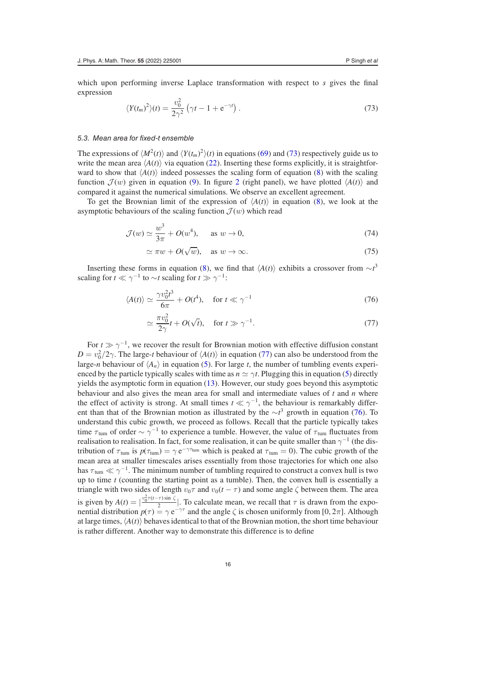which upon performing inverse Laplace transformation with respect to *s* gives the final expression

<span id="page-15-0"></span>
$$
\langle Y(t_m)^2 \rangle(t) = \frac{v_0^2}{2\gamma^2} \left( \gamma t - 1 + e^{-\gamma t} \right). \tag{73}
$$

#### 5.3. Mean area for fixed-t ensemble

The expressions of  $\langle M^2(t) \rangle$  and  $\langle Y(t_m)^2 \rangle(t)$  in equations [\(69\)](#page-14-2) and [\(73\)](#page-15-0) respectively guide us to write the mean area  $\langle A(t) \rangle$  via equation [\(22\)](#page-5-5). Inserting these forms explicitly, it is straightforward to show that  $\langle A(t) \rangle$  indeed possesses the scaling form of equation [\(8\)](#page-4-1) with the scaling function  $\mathcal{J}(w)$  given in equation [\(9\)](#page-4-2). In figure [2](#page-10-0) (right panel), we have plotted  $\langle A(t) \rangle$  and compared it against the numerical simulations. We observe an excellent agreement.

To get the Brownian limit of the expression of  $\langle A(t) \rangle$  in equation [\(8\)](#page-4-1), we look at the asymptotic behaviours of the scaling function  $\mathcal{J}(w)$  which read

$$
\mathcal{J}(w) \simeq \frac{w^3}{3\pi} + O(w^4), \quad \text{as } w \to 0,
$$
\n(74)

$$
\simeq \pi w + O(\sqrt{w}), \quad \text{as } w \to \infty. \tag{75}
$$

Inserting these forms in equation [\(8\)](#page-4-1), we find that  $\langle A(t) \rangle$  exhibits a crossover from  $\sim t^3$ scaling for  $t \ll \gamma^{-1}$  to ~*t* scaling for  $t \gg \gamma^{-1}$ :

$$
\langle A(t) \rangle \simeq \frac{\gamma v_0^2 t^3}{6\pi} + O(t^4), \quad \text{for } t \ll \gamma^{-1}
$$
 (76)

<span id="page-15-3"></span><span id="page-15-2"></span><span id="page-15-1"></span>
$$
\simeq \frac{\pi v_0^2}{2\gamma} t + O(\sqrt{t}), \quad \text{for } t \gg \gamma^{-1}.
$$
 (77)

For  $t \gg \gamma^{-1}$ , we recover the result for Brownian motion with effective diffusion constant  $D = v_0^2/2\gamma$ . The large-*t* behaviour of  $\langle A(t) \rangle$  in equation [\(77\)](#page-15-1) can also be understood from the large-*n* behaviour of  $\langle A_n \rangle$  in equation [\(5\)](#page-3-0). For large *t*, the number of tumbling events experienced by the particle typically scales with time as  $n \approx \gamma t$ . Plugging this in equation [\(5\)](#page-3-0) directly yields the asymptotic form in equation [\(13\)](#page-4-3). However, our study goes beyond this asymptotic behaviour and also gives the mean area for small and intermediate values of *t* and *n* where the effect of activity is strong. At small times  $t \ll \gamma^{-1}$ , the behaviour is remarkably different than that of the Brownian motion as illustrated by the ∼*t* <sup>3</sup> growth in equation [\(76\)](#page-15-2). To understand this cubic growth, we proceed as follows. Recall that the particle typically takes time  $\tau_{\text{tum}}$  of order  $\sim \gamma^{-1}$  to experience a tumble. However, the value of  $\tau_{\text{tum}}$  fluctuates from realisation to realisation. In fact, for some realisation, it can be quite smaller than  $\gamma^{-1}$  (the distribution of  $\tau_{\text{tum}}$  is  $p(\tau_{\text{tum}}) = \gamma e^{-\gamma \tau_{\text{tum}}}$  which is peaked at  $\tau_{\text{tum}} = 0$ ). The cubic growth of the mean area at smaller timescales arises essentially from those trajectories for which one also has  $\tau_{\text{tum}} \ll \gamma^{-1}$ . The minimum number of tumbling required to construct a convex hull is two up to time *t* (counting the starting point as a tumble). Then, the convex hull is essentially a triangle with two sides of length  $v_0\tau$  and  $v_0(t - \tau)$  and some angle  $\zeta$  between them. The area is given by  $A(t) = \left|\frac{v_0^2 \tau(t-\tau)\sin \zeta}{2}\right|$ . To calculate mean, we recall that  $\tau$  is drawn from the exponential distribution  $p(\tau) = \gamma e^{-\gamma \tau}$  and the angle  $\zeta$  is chosen uniformly from [0, 2 $\pi$ ]. Although at large times,  $\langle A(t) \rangle$  behaves identical to that of the Brownian motion, the short time behaviour is rather different. Another way to demonstrate this difference is to define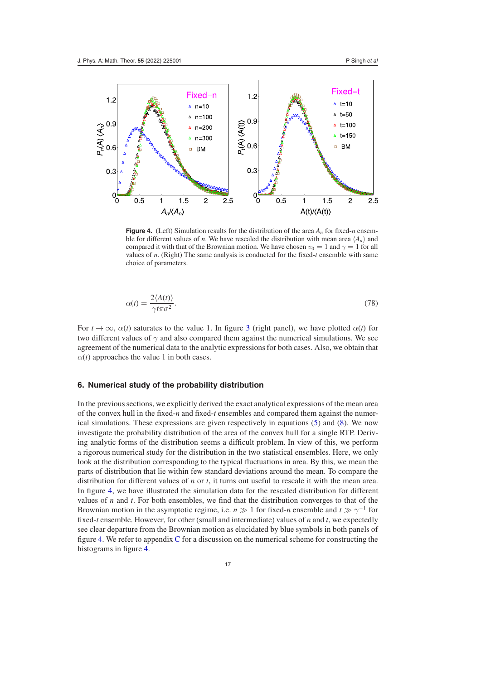<span id="page-16-1"></span>

**Figure 4.** (Left) Simulation results for the distribution of the area  $A_n$  for fixed-*n* ensemble for different values of *n*. We have rescaled the distribution with mean area  $\langle A_n \rangle$  and compared it with that of the Brownian motion. We have chosen  $v_0 = 1$  and  $\gamma = 1$  for all values of *n*. (Right) The same analysis is conducted for the fixed-*t* ensemble with same choice of parameters.

$$
\alpha(t) = \frac{2\langle A(t) \rangle}{\gamma t \pi \sigma^2}.
$$
\n(78)

For  $t \to \infty$ ,  $\alpha(t)$  saturates to the value 1. In figure [3](#page-11-1) (right panel), we have plotted  $\alpha(t)$  for two different values of  $\gamma$  and also compared them against the numerical simulations. We see agreement of the numerical data to the analytic expressions for both cases. Also, we obtain that  $\alpha(t)$  approaches the value 1 in both cases.

# <span id="page-16-0"></span>**6. Numerical study of the probability distribution**

In the previous sections, we explicitly derived the exact analytical expressions of the mean area of the convex hull in the fixed-*n* and fixed-*t* ensembles and compared them against the numerical simulations. These expressions are given respectively in equations [\(5\)](#page-3-0) and [\(8\)](#page-4-1). We now investigate the probability distribution of the area of the convex hull for a single RTP. Deriving analytic forms of the distribution seems a difficult problem. In view of this, we perform a rigorous numerical study for the distribution in the two statistical ensembles. Here, we only look at the distribution corresponding to the typical fluctuations in area. By this, we mean the parts of distribution that lie within few standard deviations around the mean. To compare the distribution for different values of *n* or *t*, it turns out useful to rescale it with the mean area. In figure [4,](#page-16-1) we have illustrated the simulation data for the rescaled distribution for different values of *n* and *t*. For both ensembles, we find that the distribution converges to that of the Brownian motion in the asymptotic regime, i.e. *n*  $\gg$  1 for fixed-*n* ensemble and *t*  $\gg \gamma^{-1}$  for fixed-*t* ensemble. However, for other (small and intermediate) values of *n* and *t*, we expectedly see clear departure from the Brownian motion as elucidated by blue symbols in both panels of figure [4.](#page-16-1) We refer to appendix [C](#page-21-0) for a discussion on the numerical scheme for constructing the histograms in figure [4.](#page-16-1)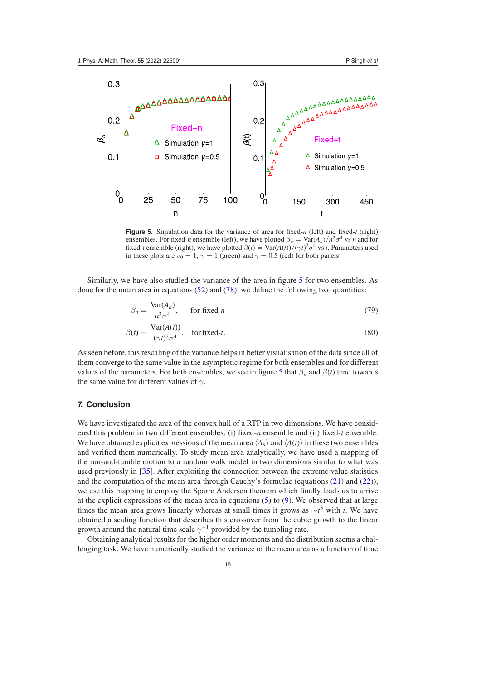<span id="page-17-1"></span>

**Figure 5.** Simulation data for the variance of area for fixed-*n* (left) and fixed-*t* (right) ensembles. For fixed-*n* ensemble (left), we have plotted  $\beta_n = \text{Var}(A_n)/n^2\sigma^4$  vs *n* and for fixed-*t* ensemble (right), we have plotted  $\beta(t) = \text{Var}(A(t)) / (\gamma t)^2 \sigma^4$  vs *t*. Parameters used in these plots are  $v_0 = 1$ ,  $\gamma = 1$  (green) and  $\gamma = 0.5$  (red) for both panels.

Similarly, we have also studied the variance of the area in figure [5](#page-17-1) for two ensembles. As done for the mean area in equations  $(52)$  and  $(78)$ , we define the following two quantities:

$$
\beta_n = \frac{\text{Var}(A_n)}{n^2 \sigma^4}, \quad \text{for fixed-}n \tag{79}
$$

$$
\beta(t) = \frac{\text{Var}(A(t))}{(\gamma t)^2 \sigma^4}.
$$
 for fixed-*t*. (80)

As seen before, this rescaling of the variance helps in better visualisation of the data since all of them converge to the same value in the asymptotic regime for both ensembles and for different values of the parameters. For both ensembles, we see in figure [5](#page-17-1) that  $\beta_n$  and  $\beta(t)$  tend towards the same value for different values of  $\gamma$ .

#### <span id="page-17-0"></span>**7. Conclusion**

We have investigated the area of the convex hull of a RTP in two dimensions. We have considered this problem in two different ensembles: (i) fixed-*n* ensemble and (ii) fixed-*t* ensemble. We have obtained explicit expressions of the mean area  $\langle A_n \rangle$  and  $\langle A(t) \rangle$  in these two ensembles and verified them numerically. To study mean area analytically, we have used a mapping of the run-and-tumble motion to a random walk model in two dimensions similar to what was used previously in [\[35\]](#page-23-11). After exploiting the connection between the extreme value statistics and the computation of the mean area through Cauchy's formulae (equations [\(21\)](#page-5-4) and [\(22\)](#page-5-5)), we use this mapping to employ the Sparre Andersen theorem which finally leads us to arrive at the explicit expressions of the mean area in equations [\(5\)](#page-3-0) to [\(9\)](#page-4-2). We observed that at large times the mean area grows linearly whereas at small times it grows as  $\sim t^3$  with *t*. We have obtained a scaling function that describes this crossover from the cubic growth to the linear growth around the natural time scale  $\gamma^{-1}$  provided by the tumbling rate.

Obtaining analytical results for the higher order moments and the distribution seems a challenging task. We have numerically studied the variance of the mean area as a function of time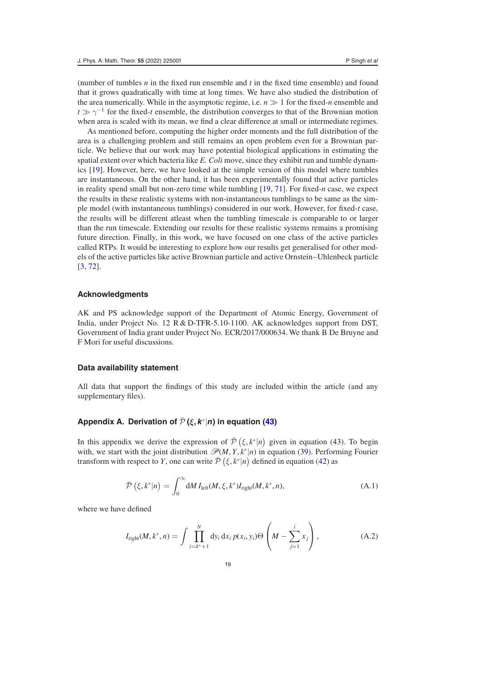(number of tumbles *n* in the fixed run ensemble and *t* in the fixed time ensemble) and found that it grows quadratically with time at long times. We have also studied the distribution of the area numerically. While in the asymptotic regime, i.e.  $n \gg 1$  for the fixed-*n* ensemble and *t*  $\gg \gamma^{-1}$  for the fixed-*t* ensemble, the distribution converges to that of the Brownian motion when area is scaled with its mean, we find a clear difference at small or intermediate regimes.

As mentioned before, computing the higher order moments and the full distribution of the area is a challenging problem and still remains an open problem even for a Brownian particle. We believe that our work may have potential biological applications in estimating the spatial extent over which bacteria like *E. Coli* move, since they exhibit run and tumble dynamics [\[19\]](#page-23-2). However, here, we have looked at the simple version of this model where tumbles are instantaneous. On the other hand, it has been experimentally found that active particles in reality spend small but non-zero time while tumbling [\[19,](#page-23-2) [71\]](#page-23-39). For fixed-*n* case, we expect the results in these realistic systems with non-instantaneous tumblings to be same as the simple model (with instantaneous tumblings) considered in our work. However, for fixed-*t* case, the results will be different atleast when the tumbling timescale is comparable to or larger than the run timescale. Extending our results for these realistic systems remains a promising future direction. Finally, in this work, we have focused on one class of the active particles called RTPs. It would be interesting to explore how our results get generalised for other models of the active particles like active Brownian particle and active Ornstein–Uhlenbeck particle [\[3,](#page-22-1) [72\]](#page-24-0).

#### **Acknowledgments**

AK and PS acknowledge support of the Department of Atomic Energy, Government of India, under Project No. 12 R & D-TFR-5.10-1100. AK acknowledges support from DST, Government of India grant under Project No. ECR/2017/000634. We thank B De Bruyne and F Mori for useful discussions.

#### **Data availability statement**

All data that support the findings of this study are included within the article (and any supplementary files).

# <span id="page-18-0"></span>**Appendix A. Derivation of**  $\bar{\mathcal{P}}$  ( $\bar{\mathcal{E}}$ ,  $\mathbf{k}^*$ ) in equation [\(43\)](#page-9-0)

In this appendix we derive the expression of  $\bar{\mathcal{P}}(\xi, k^*|n)$  given in equation [\(43\)](#page-9-0). To begin with, we start with the joint distribution  $\mathcal{P}(M, Y, k^*|n)$  in equation [\(39\)](#page-8-2). Performing Fourier transform with respect to *Y*, one can write  $\bar{\mathcal{P}}(\xi, k^*|n)$  defined in equation [\(42\)](#page-9-3) as

<span id="page-18-2"></span>
$$
\bar{\mathcal{P}}\left(\xi, k^*|n\right) = \int_0^\infty \mathrm{d}M \, I_{\text{left}}(M, \xi, k^*) I_{\text{right}}(M, k^*, n),\tag{A.1}
$$

where we have defined

<span id="page-18-1"></span>
$$
I_{\text{right}}(M, k^*, n) = \int \prod_{i=k^*+1}^N \text{d}y_i \, \text{d}x_i \, p(x_i, y_i) \Theta \left( M - \sum_{j=1}^i x_j \right), \tag{A.2}
$$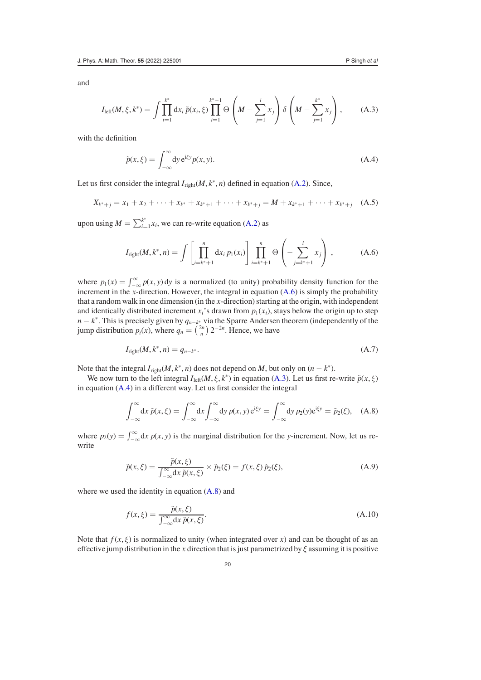<span id="page-19-1"></span>
$$
I_{\text{left}}(M,\xi,k^*) = \int \prod_{i=1}^{k^*} dx_i \, \tilde{p}(x_i,\xi) \prod_{i=1}^{k^*-1} \Theta\left(M - \sum_{j=1}^i x_j\right) \delta\left(M - \sum_{j=1}^{k^*} x_j\right),\tag{A.3}
$$

with the definition

<span id="page-19-2"></span>
$$
\tilde{p}(x,\xi) = \int_{-\infty}^{\infty} dy \, e^{i\xi y} p(x,y). \tag{A.4}
$$

Let us first consider the integral  $I_{\text{right}}(M, k^*, n)$  defined in equation [\(A.2\)](#page-18-1). Since,

$$
X_{k^*+j} = x_1 + x_2 + \dots + x_{k^*} + x_{k^*+1} + \dots + x_{k^*+j} = M + x_{k^*+1} + \dots + x_{k^*+j} \quad (A.5)
$$

upon using  $M = \sum_{i=1}^{k^*} x_i$ , we can re-write equation [\(A.2\)](#page-18-1) as

<span id="page-19-0"></span>
$$
I_{\text{right}}(M, k^*, n) = \int \left[ \prod_{i=k^*+1}^n dx_i \, p_1(x_i) \right] \prod_{i=k^*+1}^n \Theta \left( - \sum_{j=k^*+1}^i x_j \right) \,, \tag{A.6}
$$

where  $p_1(x) = \int_{-\infty}^{\infty} p(x, y) dy$  is a normalized (to unity) probability density function for the increment in the *x*-direction. However, the integral in equation [\(A.6\)](#page-19-0) is simply the probability that a random walk in one dimension (in the *x*-direction) starting at the origin, with independent and identically distributed increment  $x_i$ 's drawn from  $p_1(x_i)$ , stays below the origin up to step *n* − *k*<sup>∗</sup>. This is precisely given by  $q_{n-k}$ <sup>\*</sup> via the Sparre Andersen theorem (independently of the jump distribution  $p_i(x)$ , where  $q_n = \binom{2n}{n} 2^{-2n}$ . Hence, we have

<span id="page-19-5"></span>
$$
I_{\text{right}}(M, k^*, n) = q_{n-k^*}.\tag{A.7}
$$

Note that the integral  $I_{\text{right}}(M, k^*, n)$  does not depend on *M*, but only on  $(n - k^*)$ .

We now turn to the left integral  $I_{\text{left}}(M, \xi, k^*)$  in equation [\(A.3\)](#page-19-1). Let us first re-write  $\tilde{p}(x, \xi)$ in equation [\(A.4\)](#page-19-2) in a different way. Let us first consider the integral

<span id="page-19-3"></span>
$$
\int_{-\infty}^{\infty} dx \, \tilde{p}(x,\xi) = \int_{-\infty}^{\infty} dx \int_{-\infty}^{\infty} dy \, p(x,y) e^{i\xi y} = \int_{-\infty}^{\infty} dy \, p_2(y) e^{i\xi y} = \tilde{p}_2(\xi), \quad (A.8)
$$

<span id="page-19-4"></span>where  $p_2(y) = \int_{-\infty}^{\infty} dx p(x, y)$  is the marginal distribution for the *y*-increment. Now, let us rewrite

$$
\tilde{p}(x,\xi) = \frac{\tilde{p}(x,\xi)}{\int_{-\infty}^{\infty} dx \, \tilde{p}(x,\xi)} \times \tilde{p}_2(\xi) = f(x,\xi) \, \tilde{p}_2(\xi),\tag{A.9}
$$

where we used the identity in equation  $(A.8)$  and

$$
f(x,\xi) = \frac{\tilde{p}(x,\xi)}{\int_{-\infty}^{\infty} dx \, \tilde{p}(x,\xi)}.
$$
\n(A.10)

Note that  $f(x, \xi)$  is normalized to unity (when integrated over *x*) and can be thought of as an effective jump distribution in the *x* direction that is just parametrized by  $\xi$  assuming it is positive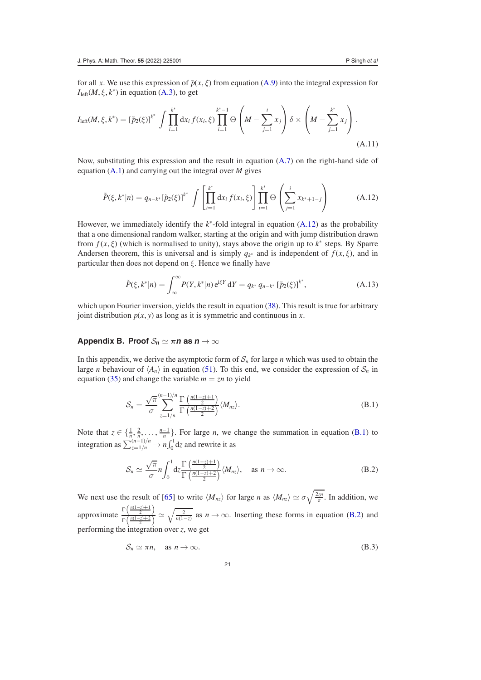for all *x*. We use this expression of  $\tilde{p}(x, \xi)$  from equation [\(A.9\)](#page-19-4) into the integral expression for  $I<sub>left</sub>(M, \xi, k^*)$  in equation [\(A.3\)](#page-19-1), to get

$$
I_{\text{left}}(M,\xi,k^*) = \left[\tilde{p}_2(\xi)\right]^{k^*} \int \prod_{i=1}^{k^*} dx_i f(x_i,\xi) \prod_{i=1}^{k^*-1} \Theta\left(M - \sum_{j=1}^i x_j\right) \delta \times \left(M - \sum_{j=1}^{k^*} x_j\right).
$$
\n(A.11)

Now, substituting this expression and the result in equation [\(A.7\)](#page-19-5) on the right-hand side of equation [\(A.1\)](#page-18-2) and carrying out the integral over *M* gives

<span id="page-20-1"></span>
$$
\tilde{P}(\xi, k^*|n) = q_{n-k^*}[\tilde{p}_2(\xi)]^{k^*} \int \left[ \prod_{i=1}^{k^*} dx_i f(x_i, \xi) \right] \prod_{i=1}^{k^*} \Theta \left( \sum_{j=1}^i x_{k^*+1-j} \right)
$$
(A.12)

However, we immediately identify the *k*<sup>∗</sup> -fold integral in equation [\(A.12\)](#page-20-1) as the probability that a one dimensional random walker, starting at the origin and with jump distribution drawn from  $f(x, \xi)$  (which is normalised to unity), stays above the origin up to  $k^*$  steps. By Sparre Andersen theorem, this is universal and is simply  $q_{k^*}$  and is independent of  $f(x, \xi)$ , and in particular then does not depend on  $\xi$ . Hence we finally have

$$
\tilde{P}(\xi, k^*|n) = \int_{\infty}^{\infty} P(Y, k^*|n) e^{i\xi Y} dY = q_{k^*} q_{n-k^*} [\tilde{p}_2(\xi)]^{k^*},
$$
\n(A.13)

which upon Fourier inversion, yields the result in equation [\(38\)](#page-8-1). This result is true for arbitrary joint distribution  $p(x, y)$  as long as it is symmetric and continuous in *x*.

## <span id="page-20-0"></span>**Appendix B. Proof**  $S_n \simeq \pi n$  **as**  $n \to \infty$

In this appendix, we derive the asymptotic form of  $S_n$  for large *n* which was used to obtain the large *n* behaviour of  $\langle A_n \rangle$  in equation [\(51\)](#page-10-2). To this end, we consider the expression of  $S_n$  in equation [\(35\)](#page-8-5) and change the variable  $m = zn$  to yield

<span id="page-20-2"></span>
$$
S_n = \frac{\sqrt{\pi}}{\sigma} \sum_{z=1/n}^{(n-1)/n} \frac{\Gamma\left(\frac{n(1-z)+1}{2}\right)}{\Gamma\left(\frac{n(1-z)+2}{2}\right)} \langle M_{nz} \rangle.
$$
 (B.1)

Note that  $z \in \{\frac{1}{n}, \frac{2}{n}, \ldots, \frac{n-1}{n}\}$ . For large *n*, we change the summation in equation [\(B.1\)](#page-20-2) to integration as  $\sum_{z=1/n}^{(n-1)/n} \rightarrow n \int_0^1 dz$  and rewrite it as

<span id="page-20-3"></span>
$$
S_n \simeq \frac{\sqrt{\pi}}{\sigma} n \int_0^1 dz \frac{\Gamma\left(\frac{n(1-z)+1}{2}\right)}{\Gamma\left(\frac{n(1-z)+2}{2}\right)} \langle M_{nz} \rangle, \quad \text{as } n \to \infty.
$$
 (B.2)

We next use the result of [\[65\]](#page-23-31) to write  $\langle M_{nz} \rangle$  for large *n* as  $\langle M_{nz} \rangle \simeq \sigma \sqrt{\frac{2m}{\pi}}$ . In addition, we approximate  $\frac{\Gamma\left(\frac{n(1-z)+1}{2}\right)}{\Gamma\left(\frac{n(1-z)+2}{2}\right)}$  $\frac{\Gamma(\frac{m_1-2m_1}{2})}{\Gamma(\frac{n(1-2)+2}{2})} \simeq \sqrt{\frac{2}{n(1-z)}}$  as  $n \to \infty$ . Inserting these forms in equation [\(B.2\)](#page-20-3) and performing the integration over *z*, we get

$$
S_n \simeq \pi n, \quad \text{as } n \to \infty. \tag{B.3}
$$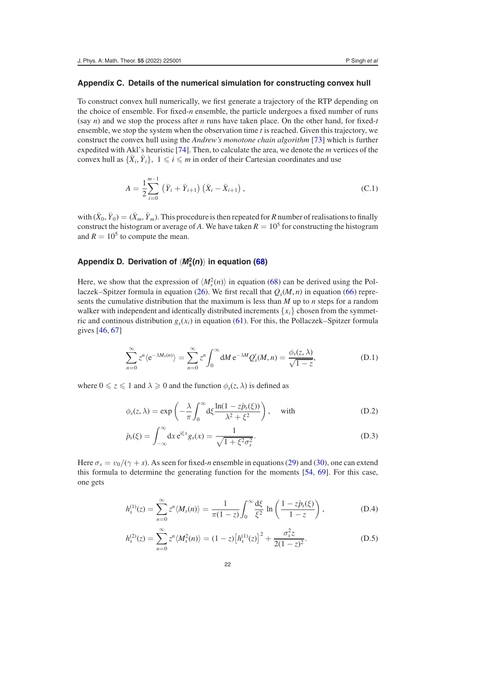## <span id="page-21-0"></span>**Appendix C. Details of the numerical simulation for constructing convex hull**

To construct convex hull numerically, we first generate a trajectory of the RTP depending on the choice of ensemble. For fixed-*n* ensemble, the particle undergoes a fixed number of runs (say *n*) and we stop the process after *n* runs have taken place. On the other hand, for fixed-*t* ensemble, we stop the system when the observation time *t* is reached. Given this trajectory, we construct the convex hull using the *Andrew's monotone chain algorithm* [\[73\]](#page-24-1) which is further expedited with Akl's heuristic [\[74\]](#page-24-2). Then, to calculate the area, we denote the *m* vertices of the convex hull as  $\{\bar{X}_i, \bar{Y}_i\}$ ,  $1 \leq i \leq m$  in order of their Cartesian coordinates and use

$$
A = \frac{1}{2} \sum_{i=0}^{m-1} (\bar{Y}_i + \bar{Y}_{i+1}) (\bar{X}_i - \bar{X}_{i+1}),
$$
 (C.1)

with  $(\bar{X}_0, \bar{Y}_0) = (\bar{X}_m, \bar{Y}_m)$ . This procedure is then repeated for *R* number of realisations to finally construct the histogram or average of *A*. We have taken  $R = 10^5$  for constructing the histogram and  $R = 10^5$  to compute the mean.

# <span id="page-21-1"></span>**Appendix D. Derivation of** *M***<sup>2</sup>** *<sup>s</sup>* **(***n***) in equation [\(68\)](#page-13-2)**

Here, we show that the expression of  $\langle M_s^2(n) \rangle$  in equation [\(68\)](#page-13-2) can be derived using the Pol-laczek–Spitzer formula in equation [\(26\)](#page-7-0). We first recall that  $Q_s(M, n)$  in equation [\(66\)](#page-13-3) represents the cumulative distribution that the maximum is less than *M* up to *n* steps for a random walker with independent and identically distributed increments  $\{x_i\}$  chosen from the symmetric and continous distribution  $g_s(x_i)$  in equation [\(61\)](#page-13-0). For this, the Pollaczek–Spitzer formula gives [\[46,](#page-23-34) [67\]](#page-23-35)

$$
\sum_{n=0}^{\infty} z^n \langle e^{-\lambda M_s(n)} \rangle = \sum_{n=0}^{\infty} z^n \int_0^{\infty} dM \, e^{-\lambda M} Q_s'(M, n) = \frac{\phi_s(z, \lambda)}{\sqrt{1-z}},
$$
\n(D.1)

where  $0 \le z \le 1$  and  $\lambda \ge 0$  and the function  $\phi_s(z, \lambda)$  is defined as

$$
\phi_s(z,\lambda) = \exp\left(-\frac{\lambda}{\pi} \int_0^\infty d\xi \frac{\ln(1-z\hat{p}_s(\xi))}{\lambda^2 + \xi^2}\right), \quad \text{with} \tag{D.2}
$$

$$
\hat{p}_s(\xi) = \int_{-\infty}^{\infty} dx \, \mathrm{e}^{\mathrm{i}\xi x} g_s(x) = \frac{1}{\sqrt{1 + \xi^2 \sigma_s^2}}. \tag{D.3}
$$

Here  $\sigma_s = v_0/(\gamma + s)$ . As seen for fixed-*n* ensemble in equations [\(29\)](#page-7-1) and [\(30\)](#page-7-6), one can extend this formula to determine the generating function for the moments [\[54,](#page-23-25) [69\]](#page-23-37). For this case, one gets

$$
h_s^{(1)}(z) = \sum_{n=0}^{\infty} z^n \langle M_s(n) \rangle = \frac{1}{\pi (1-z)} \int_0^{\infty} \frac{d\xi}{\xi^2} \ln \left( \frac{1-z\hat{p}_s(\xi)}{1-z} \right), \tag{D.4}
$$

$$
h_s^{(2)}(z) = \sum_{n=0}^{\infty} z^n \langle M_s^2(n) \rangle = (1-z) \left[ h_s^{(1)}(z) \right]^2 + \frac{\sigma_s^2 z}{2(1-z)^2}.
$$
 (D.5)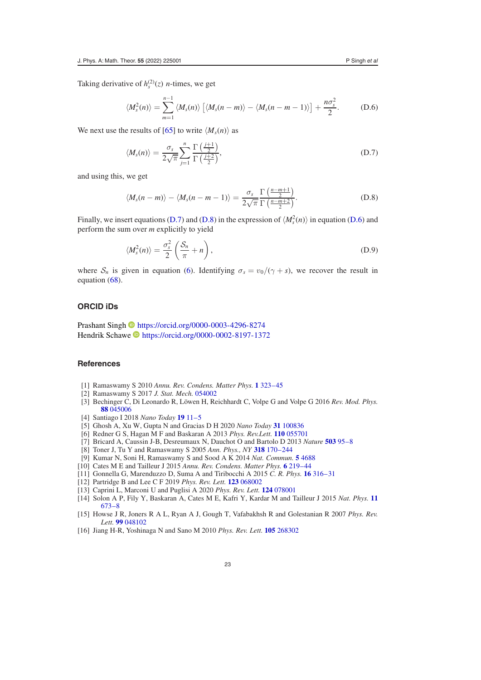Taking derivative of  $h_s^{(2)}(z)$  *n*-times, we get

<span id="page-22-15"></span>
$$
\langle M_s^2(n)\rangle = \sum_{m=1}^{n-1} \langle M_s(n)\rangle \left[\langle M_s(n-m)\rangle - \langle M_s(n-m-1)\rangle\right] + \frac{n\sigma_s^2}{2}.
$$
 (D.6)

We next use the results of [\[65\]](#page-23-31) to write  $\langle M_s(n) \rangle$  as

<span id="page-22-13"></span>
$$
\langle M_s(n) \rangle = \frac{\sigma_s}{2\sqrt{\pi}} \sum_{j=1}^n \frac{\Gamma\left(\frac{j+1}{2}\right)}{\Gamma\left(\frac{j+2}{2}\right)},\tag{D.7}
$$

and using this, we get

<span id="page-22-14"></span>
$$
\langle M_s(n-m)\rangle - \langle M_s(n-m-1)\rangle = \frac{\sigma_s}{2\sqrt{\pi}} \frac{\Gamma\left(\frac{n-m+1}{2}\right)}{\Gamma\left(\frac{n-m+2}{2}\right)}.
$$
 (D.8)

Finally, we insert equations [\(D.7\)](#page-22-13) and [\(D.8\)](#page-22-14) in the expression of  $\langle M_s^2(n) \rangle$  in equation [\(D.6\)](#page-22-15) and perform the sum over *m* explicitly to yield

$$
\langle M_s^2(n)\rangle = \frac{\sigma_s^2}{2} \left(\frac{\mathcal{S}_n}{\pi} + n\right),\tag{D.9}
$$

where  $S_n$  is given in equation [\(6\)](#page-3-3). Identifying  $\sigma_s = v_0/(\gamma + s)$ , we recover the result in equation [\(68\)](#page-13-2).

# **ORCID iDs**

Prashant Singh **D** <https://orcid.org/0000-0003-4296-8274> Hendrik Schawe <https://orcid.org/0000-0002-8197-1372>

# **References**

- <span id="page-22-0"></span>[1] Ramaswamy S 2010 *Annu. Rev. Condens. Matter Phys.* **[1](https://doi.org/10.1146/annurev-conmatphys-070909-104101)** [323–45](https://doi.org/10.1146/annurev-conmatphys-070909-104101)
- [2] Ramaswamy S 2017 *J. Stat. Mech.* [054002](https://doi.org/10.1088/1742-5468/aa6bc5)
- <span id="page-22-1"></span>[3] Bechinger C, Di Leonardo R, Löwen H, Reichhardt C, Volpe G and Volpe G 2016 *Rev. Mod. Phys.* **[88](https://doi.org/10.1103/revmodphys.88.045006)** [045006](https://doi.org/10.1103/revmodphys.88.045006)
- <span id="page-22-2"></span>[4] Santiago I 2018 *Nano Today* **[19](https://doi.org/10.1016/j.nantod.2018.01.001)** [11–5](https://doi.org/10.1016/j.nantod.2018.01.001)
- <span id="page-22-3"></span>[5] Ghosh A, Xu W, Gupta N and Gracias D H 2020 *Nano Today* **[31](https://doi.org/10.1016/j.nantod.2019.100836)** [100836](https://doi.org/10.1016/j.nantod.2019.100836)
- <span id="page-22-4"></span>[6] Redner G S, Hagan M F and Baskaran A 2013 *Phys. Rev.Lett.* **[110](https://doi.org/10.1103/physrevlett.110.055701)** [055701](https://doi.org/10.1103/physrevlett.110.055701)
- <span id="page-22-5"></span>[7] Bricard A, Caussin J-B, Desreumaux N, Dauchot O and Bartolo D 2013 *Nature* **[503](https://doi.org/10.1038/nature12673)** [95–8](https://doi.org/10.1038/nature12673)
- <span id="page-22-6"></span>[8] Toner J, Tu Y and Ramaswamy S 2005 *Ann. Phys., NY* **[318](https://doi.org/10.1016/j.aop.2005.04.011)** [170–244](https://doi.org/10.1016/j.aop.2005.04.011)
- <span id="page-22-7"></span>[9] Kumar N, Soni H, Ramaswamy S and Sood A K 2014 *Nat. Commun.* **[5](https://doi.org/10.1038/ncomms5688)** [4688](https://doi.org/10.1038/ncomms5688)
- <span id="page-22-8"></span>[10] Cates M E and Tailleur J 2015 *Annu. Rev. Condens. Matter Phys.* **[6](https://doi.org/10.1146/annurev-conmatphys-031214-014710)** [219–44](https://doi.org/10.1146/annurev-conmatphys-031214-014710)
- [11] Gonnella G, Marenduzzo D, Suma A and Tiribocchi A 2015 *C. R. Phys.* **[16](https://doi.org/10.1016/j.crhy.2015.05.001)** [316–31](https://doi.org/10.1016/j.crhy.2015.05.001)
- [12] Partridge B and Lee C F 2019 *Phys. Rev. Lett.* **[123](https://doi.org/10.1103/physrevlett.123.068002)** [068002](https://doi.org/10.1103/physrevlett.123.068002)
- <span id="page-22-9"></span>[13] Caprini L, Marconi U and Puglisi A 2020 *Phys. Rev. Lett.* **[124](https://doi.org/10.1103/physrevlett.124.078001)** [078001](https://doi.org/10.1103/physrevlett.124.078001)
- <span id="page-22-10"></span>[14] Solon A P, Fily Y, Baskaran A, Cates M E, Kafri Y, Kardar M and Tailleur J 2015 *Nat. Phys.* **[11](https://doi.org/10.1038/nphys3377)** [673–8](https://doi.org/10.1038/nphys3377)
- <span id="page-22-11"></span>[15] Howse J R, Joners R A L, Ryan A J, Gough T, Vafabakhsh R and Golestanian R 2007 *Phys. Rev. Lett.* **[99](https://doi.org/10.1103/physrevlett.99.048102)** [048102](https://doi.org/10.1103/physrevlett.99.048102)
- <span id="page-22-12"></span>[16] Jiang H-R, Yoshinaga N and Sano M 2010 *Phys. Rev. Lett.* **[105](https://doi.org/10.1103/physrevlett.105.268302)** [268302](https://doi.org/10.1103/physrevlett.105.268302)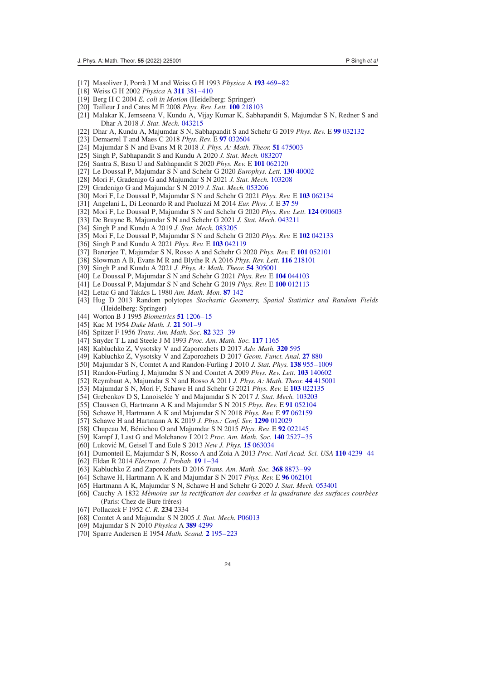- <span id="page-23-0"></span>[17] Masoliver J, Porr`a J M and Weiss G H 1993 *Physica* A **[193](https://doi.org/10.1016/0378-4371(93)90488-p)** [469–82](https://doi.org/10.1016/0378-4371(93)90488-p)
- <span id="page-23-1"></span>[18] Weiss G H 2002 *Physica* A **[311](https://doi.org/10.1016/s0378-4371(02)00805-1)** [381–410](https://doi.org/10.1016/s0378-4371(02)00805-1)
- <span id="page-23-2"></span>[19] Berg H C 2004 *E. coli in Motion* (Heidelberg: Springer)
- <span id="page-23-3"></span>[20] Tailleur J and Cates M E 2008 *Phys. Rev. Lett.* **[100](https://doi.org/10.1103/physrevlett.100.218103)** [218103](https://doi.org/10.1103/physrevlett.100.218103)
- <span id="page-23-4"></span>[21] Malakar K, Jemseena V, Kundu A, Vijay Kumar K, Sabhapandit S, Majumdar S N, Redner S and Dhar A 2018 *J. Stat. Mech.* [043215](https://doi.org/10.1088/1742-5468/aab84f)
- [22] Dhar A, Kundu A, Majumdar S N, Sabhapandit S and Schehr G 2019 *Phys. Rev.* E **[99](https://doi.org/10.1103/physreve.99.032132)** [032132](https://doi.org/10.1103/physreve.99.032132)
- [23] Demaerel T and Maes C 2018 *Phys. Rev.* E **[97](https://doi.org/10.1103/physreve.97.032604)** [032604](https://doi.org/10.1103/physreve.97.032604)
- [24] Majumdar S N and Evans M R 2018 *J. Phys. A: Math. Theor.* **[51](https://doi.org/10.1088/1751-8121/aadef0)** [475003](https://doi.org/10.1088/1751-8121/aadef0)
- [25] Singh P, Sabhapandit S and Kundu A 2020 *J. Stat. Mech.* [083207](https://doi.org/10.1088/1742-5468/aba7b1)
- [26] Santra S, Basu U and Sabhapandit S 2020 *Phys. Rev.* E **[101](https://doi.org/10.1103/physreve.101.062120)** [062120](https://doi.org/10.1103/physreve.101.062120)
- <span id="page-23-5"></span>[27] Le Doussal P, Majumdar S N and Schehr G 2020 *Europhys. Lett.* **[130](https://doi.org/10.1209/0295-5075/130/40002)** [40002](https://doi.org/10.1209/0295-5075/130/40002)
- <span id="page-23-6"></span>[28] Mori F, Gradenigo G and Majumdar S N 2021 *J. Stat. Mech.* [103208](https://doi.org/10.1088/1742-5468/ac2899)
- [29] Gradenigo G and Majumdar S N 2019 *J. Stat. Mech.* [053206](https://doi.org/10.1088/1742-5468/ab11be)
- <span id="page-23-7"></span>[30] Mori F, Le Doussal P, Majumdar S N and Schehr G 2021 *Phys. Rev.* E **[103](https://doi.org/10.1103/physreve.103.062134)** [062134](https://doi.org/10.1103/physreve.103.062134)
- <span id="page-23-8"></span>[31] Angelani L, Di Leonardo R and Paoluzzi M 2014 *Eur. Phys. J.* E **[37](https://doi.org/10.1140/epje/i2014-14059-4)** [59](https://doi.org/10.1140/epje/i2014-14059-4)
- <span id="page-23-33"></span>[32] Mori F, Le Doussal P, Majumdar S N and Schehr G 2020 *Phys. Rev. Lett.* **[124](https://doi.org/10.1103/physrevlett.124.090603)** [090603](https://doi.org/10.1103/physrevlett.124.090603)
- <span id="page-23-9"></span>[33] De Bruyne B, Majumdar S N and Schehr G 2021 *J. Stat. Mech.* [043211](https://doi.org/10.1088/1742-5468/abf5d5)
- <span id="page-23-10"></span>[34] Singh P and Kundu A 2019 *J. Stat. Mech.* [083205](https://doi.org/10.1088/1742-5468/ab3283)
- <span id="page-23-11"></span>[35] Mori F, Le Doussal P, Majumdar S N and Schehr G 2020 *Phys. Rev.* E **[102](https://doi.org/10.1103/physreve.102.042133)** [042133](https://doi.org/10.1103/physreve.102.042133)
- <span id="page-23-12"></span>[36] Singh P and Kundu A 2021 *Phys. Rev.* E **[103](https://doi.org/10.1103/physreve.103.042119)** [042119](https://doi.org/10.1103/physreve.103.042119)
- <span id="page-23-13"></span>[37] Banerjee T, Majumdar S N, Rosso A and Schehr G 2020 *Phys. Rev.* E **[101](https://doi.org/10.1103/physreve.101.052101)** [052101](https://doi.org/10.1103/physreve.101.052101)
- <span id="page-23-14"></span>[38] Slowman A B, Evans M R and Blythe R A 2016 *Phys. Rev. Lett.* **[116](https://doi.org/10.1103/physrevlett.116.218101)** [218101](https://doi.org/10.1103/physrevlett.116.218101)
- [39] Singh P and Kundu A 2021 *J. Phys. A: Math. Theor.* **[54](https://doi.org/10.1088/1751-8121/ac0a9f)** [305001](https://doi.org/10.1088/1751-8121/ac0a9f)
- [40] Le Doussal P, Majumdar S N and Schehr G 2021 *Phys. Rev.* E **[104](https://doi.org/10.1103/physreve.104.044103)** [044103](https://doi.org/10.1103/physreve.104.044103)
- <span id="page-23-15"></span>[41] Le Doussal P, Majumdar S N and Schehr G 2019 *Phys. Rev.* E **[100](https://doi.org/10.1103/physreve.100.012113)** [012113](https://doi.org/10.1103/physreve.100.012113)
- <span id="page-23-16"></span>[42] Letac G and Takács L 1980 *Am. Math. Mon.* **[87](https://doi.org/10.2307/2322010)** [142](https://doi.org/10.2307/2322010)
- <span id="page-23-17"></span>[43] Hug D 2013 Random polytopes *Stochastic Geometry, Spatial Statistics and Random Fields* (Heidelberg: Springer)
- <span id="page-23-18"></span>[44] Worton B J 1995 *Biometrics* **[51](https://doi.org/10.2307/2533254)** [1206–15](https://doi.org/10.2307/2533254)
- <span id="page-23-19"></span>[45] Kac M 1954 *Duke Math. J.* **[21](https://doi.org/10.1215/s0012-7094-54-02149-3)** [501–9](https://doi.org/10.1215/s0012-7094-54-02149-3)
- <span id="page-23-34"></span>[46] Spitzer F 1956 *Trans. Am. Math. Soc.* **[82](https://doi.org/10.1090/s0002-9947-1956-0079851-x)** [323–39](https://doi.org/10.1090/s0002-9947-1956-0079851-x)
- [47] Snyder T L and Steele J M 1993 *Proc. Am. Math. Soc.* **[117](https://doi.org/10.1090/s0002-9939-1993-1169048-2)** [1165](https://doi.org/10.1090/s0002-9939-1993-1169048-2)
- [48] Kabluchko Z, Vysotsky V and Zaporozhets D 2017 *Adv. Math.* **[320](https://doi.org/10.1016/j.aim.2017.09.002)** [595](https://doi.org/10.1016/j.aim.2017.09.002)
- <span id="page-23-20"></span>[49] Kabluchko Z, Vysotsky V and Zaporozhets D 2017 *Geom. Funct. Anal.* **[27](https://doi.org/10.1007/s00039-017-0415-x)** [880](https://doi.org/10.1007/s00039-017-0415-x)
- <span id="page-23-21"></span>[50] Majumdar S N, Comtet A and Randon-Furling J 2010 *J. Stat. Phys.* **[138](https://doi.org/10.1007/s10955-009-9905-z)** [955–1009](https://doi.org/10.1007/s10955-009-9905-z)
- <span id="page-23-22"></span>[51] Randon-Furling J, Majumdar S N and Comtet A 2009 *Phys. Rev. Lett.* **[103](https://doi.org/10.1103/physrevlett.103.140602)** [140602](https://doi.org/10.1103/physrevlett.103.140602)
- <span id="page-23-23"></span>[52] Reymbaut A, Majumdar S N and Rosso A 2011 *J. Phys. A: Math. Theor.* **[44](https://doi.org/10.1088/1751-8113/44/41/415001)** [415001](https://doi.org/10.1088/1751-8113/44/41/415001)
- <span id="page-23-24"></span>[53] Majumdar S N, Mori F, Schawe H and Schehr G 2021 *Phys. Rev.* E **[103](https://doi.org/10.1103/physreve.103.022135)** [022135](https://doi.org/10.1103/physreve.103.022135)
- <span id="page-23-25"></span>[54] Grebenkov D S, Lanoisel´ee Y and Majumdar S N 2017 *J. Stat. Mech.* [103203](https://doi.org/10.1088/1742-5468/aa8c11)
- <span id="page-23-29"></span>[55] Claussen G, Hartmann A K and Majumdar S N 2015 *Phys. Rev.* E **[91](https://doi.org/10.1103/physreve.91.052104)** [052104](https://doi.org/10.1103/physreve.91.052104)
- [56] Schawe H, Hartmann A K and Majumdar S N 2018 *Phys. Rev.* E **[97](https://doi.org/10.1103/physreve.97.062159)** [062159](https://doi.org/10.1103/physreve.97.062159)
- <span id="page-23-30"></span>[57] Schawe H and Hartmann A K 2019 *J. Phys.: Conf. Ser.* **[1290](https://doi.org/10.1088/1742-6596/1290/1/012029)** [012029](https://doi.org/10.1088/1742-6596/1290/1/012029)
- [58] Chupeau M, Bénichou O and Majumdar S N 2015 *Phys. Rev.* E [92](https://doi.org/10.1103/physreve.92.022145) [022145](https://doi.org/10.1103/physreve.92.022145)
- [59] Kampf J, Last G and Molchanov I 2012 *Proc. Am. Math. Soc.* **[140](https://doi.org/10.1090/s0002-9939-2012-11128-1)** [2527–35](https://doi.org/10.1090/s0002-9939-2012-11128-1)
- [60] Lukovi´c M, Geisel T and Eule S 2013 *New J. Phys.* **[15](https://doi.org/10.1088/1367-2630/15/6/063034)** [063034](https://doi.org/10.1088/1367-2630/15/6/063034)
- <span id="page-23-26"></span>[61] Dumonteil E, Majumdar S N, Rosso A and Zoia A 2013 *Proc. Natl Acad. Sci. USA* **[110](https://doi.org/10.1073/pnas.1213237110)** [4239–44](https://doi.org/10.1073/pnas.1213237110)
- <span id="page-23-27"></span>[62] Eldan R 2014 *Electron. J. Probab.* **[19](https://doi.org/10.1214/ejp.v19-2571)** [1–34](https://doi.org/10.1214/ejp.v19-2571)
- [63] Kabluchko Z and Zaporozhets D 2016 *Trans. Am. Math. Soc.* **[368](https://doi.org/10.1090/tran/6628)** [8873–99](https://doi.org/10.1090/tran/6628)
- <span id="page-23-28"></span>[64] Schawe H, Hartmann A K and Majumdar S N 2017 *Phys. Rev.* E **[96](https://doi.org/10.1103/physreve.96.062101)** [062101](https://doi.org/10.1103/physreve.96.062101)
- <span id="page-23-31"></span>[65] Hartmann A K, Majumdar S N, Schawe H and Schehr G 2020 *J. Stat. Mech.* [053401](https://doi.org/10.1088/1742-5468/ab7c5f)
- <span id="page-23-32"></span>[66] Cauchy A 1832 *M*´*emoire sur la rectification des courbes et la quadrature des surfaces courb*´*ees* (Paris: Chez de Bure fréres)
- <span id="page-23-35"></span>[67] Pollaczek F 1952 *C. R.* **234** 2334
- <span id="page-23-36"></span>[68] Comtet A and Majumdar S N 2005 *J. Stat. Mech.* [P06013](https://doi.org/10.1088/1742-5468/2005/06/p06013)
- <span id="page-23-37"></span>[69] Majumdar S N 2010 *Physica* A **[389](https://doi.org/10.1016/j.physa.2010.01.021)** [4299](https://doi.org/10.1016/j.physa.2010.01.021)
- <span id="page-23-39"></span><span id="page-23-38"></span>[70] Sparre Andersen E 1954 *Math. Scand.* **[2](https://doi.org/10.7146/math.scand.a-10407)** [195–223](https://doi.org/10.7146/math.scand.a-10407)